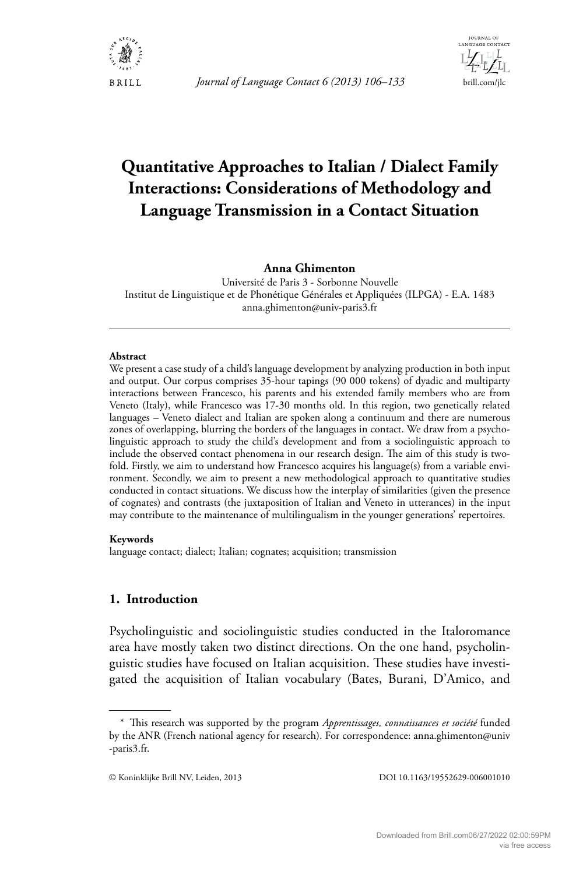

*Journal of Language Contact 6 (2013) 106–133*



# **Quantitative Approaches to Italian / Dialect Family Interactions: Considerations of Methodology and Language Transmission in a Contact Situation**

## **Anna Ghimenton**

Université de Paris 3 - Sorbonne Nouvelle Institut de Linguistique et de Phonétique Générales et Appliquées (ILPGA) - E.A. 1483 anna.ghimenton@univ-paris3.fr

#### **Abstract**

We present a case study of a child's language development by analyzing production in both input and output. Our corpus comprises 35-hour tapings (90 000 tokens) of dyadic and multiparty interactions between Francesco, his parents and his extended family members who are from Veneto (Italy), while Francesco was 17-30 months old. In this region, two genetically related languages – Veneto dialect and Italian are spoken along a continuum and there are numerous zones of overlapping, blurring the borders of the languages in contact. We draw from a psycholinguistic approach to study the child's development and from a sociolinguistic approach to include the observed contact phenomena in our research design. The aim of this study is twofold. Firstly, we aim to understand how Francesco acquires his language(s) from a variable environment. Secondly, we aim to present a new methodological approach to quantitative studies conducted in contact situations. We discuss how the interplay of similarities (given the presence of cognates) and contrasts (the juxtaposition of Italian and Veneto in utterances) in the input may contribute to the maintenance of multilingualism in the younger generations' repertoires.

#### **Keywords**

language contact; dialect; Italian; cognates; acquisition; transmission

## **1. Introduction**

Psycholinguistic and sociolinguistic studies conducted in the Italoromance area have mostly taken two distinct directions. On the one hand, psycholinguistic studies have focused on Italian acquisition. These studies have investigated the acquisition of Italian vocabulary (Bates, Burani, D'Amico, and

<sup>\*</sup> This research was supported by the program *Apprentissages, connaissances et société* funded by the ANR (French national agency for research). For correspondence: anna.ghimenton@univ -paris3.fr.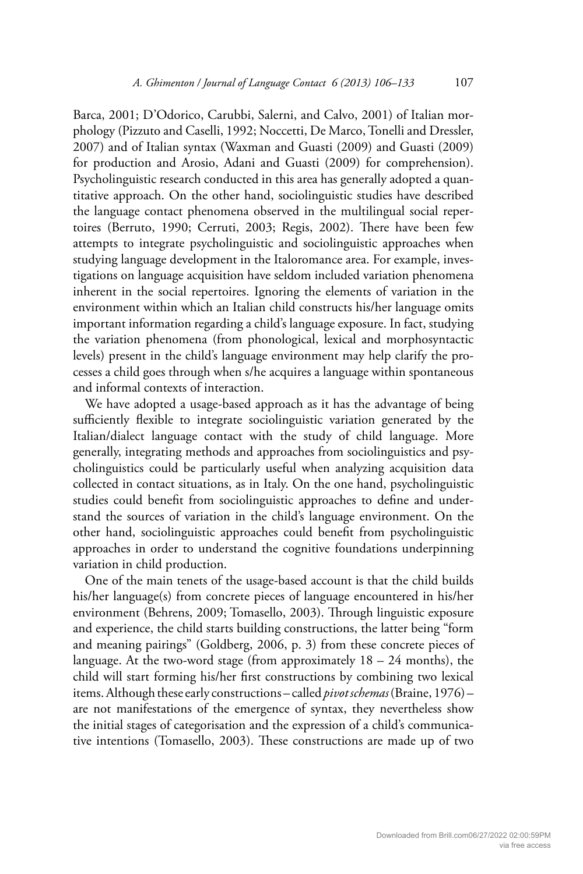Barca, 2001; D'Odorico, Carubbi, Salerni, and Calvo, 2001) of Italian morphology (Pizzuto and Caselli, 1992; Noccetti, De Marco, Tonelli and Dressler, 2007) and of Italian syntax (Waxman and Guasti (2009) and Guasti (2009) for production and Arosio, Adani and Guasti (2009) for comprehension). Psycholinguistic research conducted in this area has generally adopted a quantitative approach. On the other hand, sociolinguistic studies have described the language contact phenomena observed in the multilingual social repertoires (Berruto, 1990; Cerruti, 2003; Regis, 2002). There have been few attempts to integrate psycholinguistic and sociolinguistic approaches when studying language development in the Italoromance area. For example, investigations on language acquisition have seldom included variation phenomena inherent in the social repertoires. Ignoring the elements of variation in the environment within which an Italian child constructs his/her language omits important information regarding a child's language exposure. In fact, studying the variation phenomena (from phonological, lexical and morphosyntactic levels) present in the child's language environment may help clarify the processes a child goes through when s/he acquires a language within spontaneous and informal contexts of interaction.

We have adopted a usage-based approach as it has the advantage of being sufficiently flexible to integrate sociolinguistic variation generated by the Italian/dialect language contact with the study of child language. More generally, integrating methods and approaches from sociolinguistics and psycholinguistics could be particularly useful when analyzing acquisition data collected in contact situations, as in Italy. On the one hand, psycholinguistic studies could benefit from sociolinguistic approaches to define and understand the sources of variation in the child's language environment. On the other hand, sociolinguistic approaches could benefit from psycholinguistic approaches in order to understand the cognitive foundations underpinning variation in child production.

One of the main tenets of the usage-based account is that the child builds his/her language(s) from concrete pieces of language encountered in his/her environment (Behrens, 2009; Tomasello, 2003). Through linguistic exposure and experience, the child starts building constructions, the latter being "form and meaning pairings" (Goldberg, 2006, p. 3) from these concrete pieces of language. At the two-word stage (from approximately  $18 - 24$  months), the child will start forming his/her first constructions by combining two lexical items. Although these early constructions – called *pivot schemas* (Braine, 1976) – are not manifestations of the emergence of syntax, they nevertheless show the initial stages of categorisation and the expression of a child's communicative intentions (Tomasello, 2003). These constructions are made up of two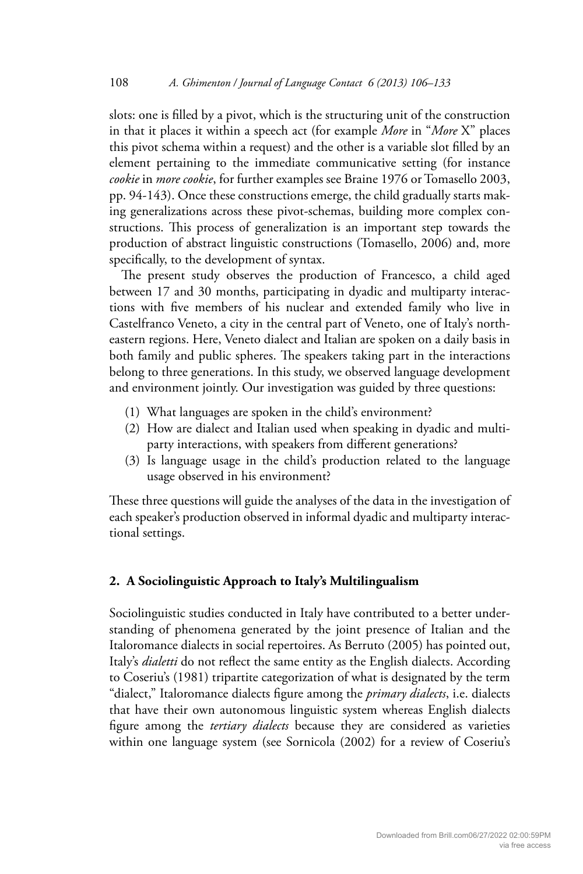slots: one is filled by a pivot, which is the structuring unit of the construction in that it places it within a speech act (for example *More* in "*More* X" places this pivot schema within a request) and the other is a variable slot filled by an element pertaining to the immediate communicative setting (for instance *cookie* in *more cookie*, for further examples see Braine 1976 or Tomasello 2003, pp. 94-143). Once these constructions emerge, the child gradually starts making generalizations across these pivot-schemas, building more complex constructions. This process of generalization is an important step towards the production of abstract linguistic constructions (Tomasello, 2006) and, more specifically, to the development of syntax.

The present study observes the production of Francesco, a child aged between 17 and 30 months, participating in dyadic and multiparty interactions with five members of his nuclear and extended family who live in Castelfranco Veneto, a city in the central part of Veneto, one of Italy's northeastern regions. Here, Veneto dialect and Italian are spoken on a daily basis in both family and public spheres. The speakers taking part in the interactions belong to three generations. In this study, we observed language development and environment jointly. Our investigation was guided by three questions:

- (1) What languages are spoken in the child's environment?
- (2) How are dialect and Italian used when speaking in dyadic and multiparty interactions, with speakers from different generations?
- (3) Is language usage in the child's production related to the language usage observed in his environment?

These three questions will guide the analyses of the data in the investigation of each speaker's production observed in informal dyadic and multiparty interactional settings.

## **2. A Sociolinguistic Approach to Italy's Multilingualism**

Sociolinguistic studies conducted in Italy have contributed to a better understanding of phenomena generated by the joint presence of Italian and the Italoromance dialects in social repertoires. As Berruto (2005) has pointed out, Italy's *dialetti* do not reflect the same entity as the English dialects. According to Coseriu's (1981) tripartite categorization of what is designated by the term "dialect," Italoromance dialects figure among the *primary dialects*, i.e. dialects that have their own autonomous linguistic system whereas English dialects figure among the *tertiary dialects* because they are considered as varieties within one language system (see Sornicola (2002) for a review of Coseriu's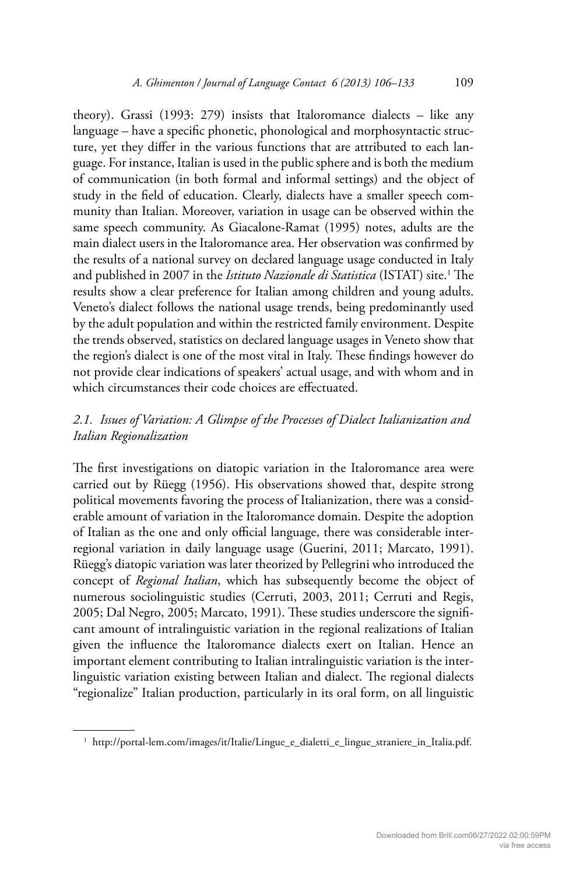theory). Grassi (1993: 279) insists that Italoromance dialects – like any language – have a specific phonetic, phonological and morphosyntactic structure, yet they differ in the various functions that are attributed to each language. For instance, Italian is used in the public sphere and is both the medium of communication (in both formal and informal settings) and the object of study in the field of education. Clearly, dialects have a smaller speech community than Italian. Moreover, variation in usage can be observed within the same speech community. As Giacalone-Ramat (1995) notes, adults are the main dialect users in the Italoromance area. Her observation was confirmed by the results of a national survey on declared language usage conducted in Italy and published in 2007 in the *Istituto Nazionale di Statistica* (ISTAT) site.<sup>1</sup> The results show a clear preference for Italian among children and young adults. Veneto's dialect follows the national usage trends, being predominantly used by the adult population and within the restricted family environment. Despite the trends observed, statistics on declared language usages in Veneto show that the region's dialect is one of the most vital in Italy. These findings however do not provide clear indications of speakers' actual usage, and with whom and in which circumstances their code choices are effectuated.

## *2.1. Issues of Variation: A Glimpse of the Processes of Dialect Italianization and Italian Regionalization*

The first investigations on diatopic variation in the Italoromance area were carried out by Rüegg (1956). His observations showed that, despite strong political movements favoring the process of Italianization, there was a considerable amount of variation in the Italoromance domain. Despite the adoption of Italian as the one and only official language, there was considerable interregional variation in daily language usage (Guerini, 2011; Marcato, 1991). Rüegg's diatopic variation was later theorized by Pellegrini who introduced the concept of *Regional Italian*, which has subsequently become the object of numerous sociolinguistic studies (Cerruti, 2003, 2011; Cerruti and Regis, 2005; Dal Negro, 2005; Marcato, 1991). These studies underscore the significant amount of intralinguistic variation in the regional realizations of Italian given the influence the Italoromance dialects exert on Italian. Hence an important element contributing to Italian intralinguistic variation is the interlinguistic variation existing between Italian and dialect. The regional dialects "regionalize" Italian production, particularly in its oral form, on all linguistic

<sup>&</sup>lt;sup>1</sup> http://portal-lem.com/images/it/Italie/Lingue\_e\_dialetti\_e\_lingue\_straniere\_in\_Italia.pdf.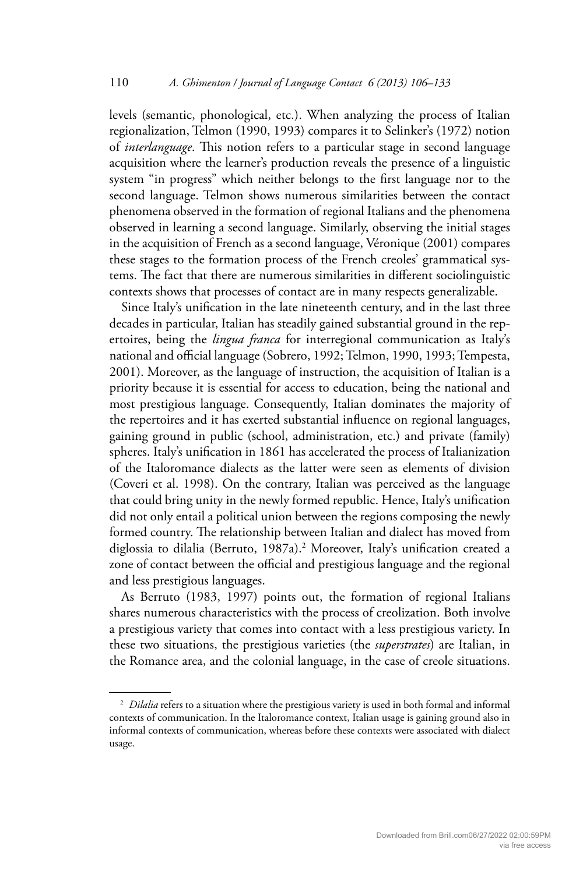levels (semantic, phonological, etc.). When analyzing the process of Italian regionalization, Telmon (1990, 1993) compares it to Selinker's (1972) notion of *interlanguage*. This notion refers to a particular stage in second language acquisition where the learner's production reveals the presence of a linguistic system "in progress" which neither belongs to the first language nor to the second language. Telmon shows numerous similarities between the contact phenomena observed in the formation of regional Italians and the phenomena observed in learning a second language. Similarly, observing the initial stages in the acquisition of French as a second language, Véronique (2001) compares these stages to the formation process of the French creoles' grammatical systems. The fact that there are numerous similarities in different sociolinguistic contexts shows that processes of contact are in many respects generalizable.

Since Italy's unification in the late nineteenth century, and in the last three decades in particular, Italian has steadily gained substantial ground in the repertoires, being the *lingua franca* for interregional communication as Italy's national and official language (Sobrero, 1992; Telmon, 1990, 1993; Tempesta, 2001). Moreover, as the language of instruction, the acquisition of Italian is a priority because it is essential for access to education, being the national and most prestigious language. Consequently, Italian dominates the majority of the repertoires and it has exerted substantial influence on regional languages, gaining ground in public (school, administration, etc.) and private (family) spheres. Italy's unification in 1861 has accelerated the process of Italianization of the Italoromance dialects as the latter were seen as elements of division (Coveri et al. 1998). On the contrary, Italian was perceived as the language that could bring unity in the newly formed republic. Hence, Italy's unification did not only entail a political union between the regions composing the newly formed country. The relationship between Italian and dialect has moved from diglossia to dilalia (Berruto, 1987a).2 Moreover, Italy's unification created a zone of contact between the official and prestigious language and the regional and less prestigious languages.

As Berruto (1983, 1997) points out, the formation of regional Italians shares numerous characteristics with the process of creolization. Both involve a prestigious variety that comes into contact with a less prestigious variety. In these two situations, the prestigious varieties (the *superstrates*) are Italian, in the Romance area, and the colonial language, in the case of creole situations.

Downloaded from Brill.com06/27/2022 02:00:59PM

via free access

<sup>&</sup>lt;sup>2</sup> *Dilalia* refers to a situation where the prestigious variety is used in both formal and informal contexts of communication. In the Italoromance context, Italian usage is gaining ground also in informal contexts of communication, whereas before these contexts were associated with dialect usage.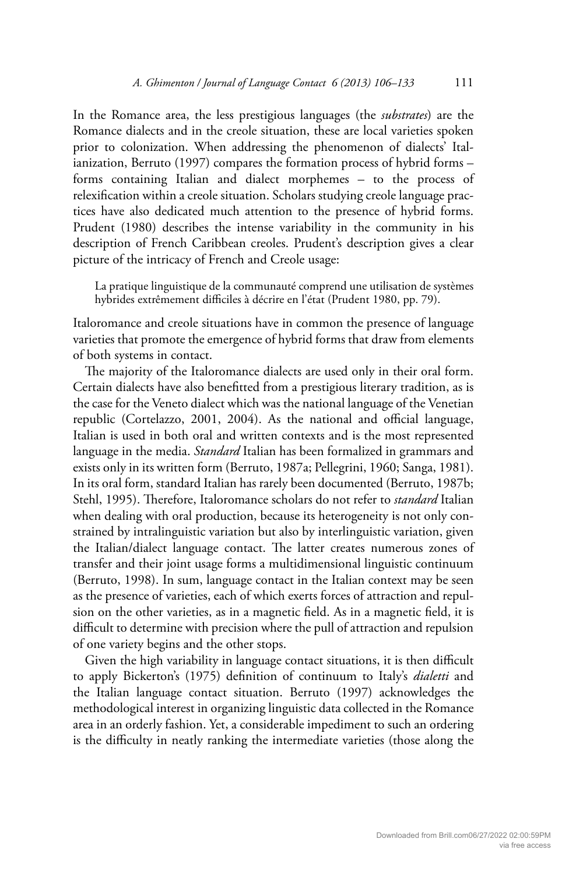In the Romance area, the less prestigious languages (the *substrates*) are the Romance dialects and in the creole situation, these are local varieties spoken prior to colonization. When addressing the phenomenon of dialects' Italianization, Berruto (1997) compares the formation process of hybrid forms – forms containing Italian and dialect morphemes – to the process of relexification within a creole situation. Scholars studying creole language practices have also dedicated much attention to the presence of hybrid forms. Prudent (1980) describes the intense variability in the community in his description of French Caribbean creoles. Prudent's description gives a clear picture of the intricacy of French and Creole usage:

La pratique linguistique de la communauté comprend une utilisation de systèmes hybrides extrêmement difficiles à décrire en l'état (Prudent 1980, pp. 79).

Italoromance and creole situations have in common the presence of language varieties that promote the emergence of hybrid forms that draw from elements of both systems in contact.

The majority of the Italoromance dialects are used only in their oral form. Certain dialects have also benefitted from a prestigious literary tradition, as is the case for the Veneto dialect which was the national language of the Venetian republic (Cortelazzo, 2001, 2004). As the national and official language, Italian is used in both oral and written contexts and is the most represented language in the media. *Standard* Italian has been formalized in grammars and exists only in its written form (Berruto, 1987a; Pellegrini, 1960; Sanga, 1981). In its oral form, standard Italian has rarely been documented (Berruto, 1987b; Stehl, 1995). Therefore, Italoromance scholars do not refer to *standard* Italian when dealing with oral production, because its heterogeneity is not only constrained by intralinguistic variation but also by interlinguistic variation, given the Italian/dialect language contact. The latter creates numerous zones of transfer and their joint usage forms a multidimensional linguistic continuum (Berruto, 1998). In sum, language contact in the Italian context may be seen as the presence of varieties, each of which exerts forces of attraction and repulsion on the other varieties, as in a magnetic field. As in a magnetic field, it is difficult to determine with precision where the pull of attraction and repulsion of one variety begins and the other stops.

Given the high variability in language contact situations, it is then difficult to apply Bickerton's (1975) definition of continuum to Italy's *dialetti* and the Italian language contact situation. Berruto (1997) acknowledges the methodological interest in organizing linguistic data collected in the Romance area in an orderly fashion. Yet, a considerable impediment to such an ordering is the difficulty in neatly ranking the intermediate varieties (those along the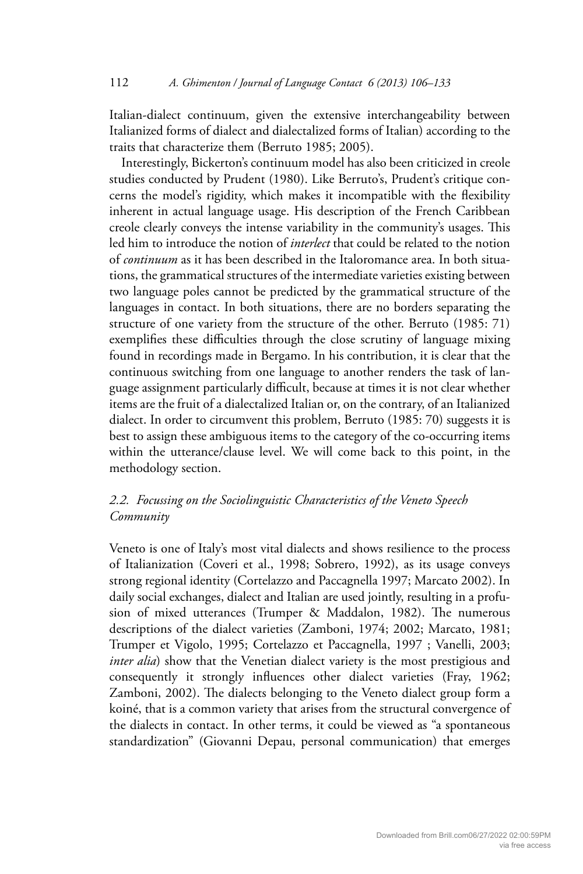Italian-dialect continuum, given the extensive interchangeability between Italianized forms of dialect and dialectalized forms of Italian) according to the traits that characterize them (Berruto 1985; 2005).

Interestingly, Bickerton's continuum model has also been criticized in creole studies conducted by Prudent (1980). Like Berruto's, Prudent's critique concerns the model's rigidity, which makes it incompatible with the flexibility inherent in actual language usage. His description of the French Caribbean creole clearly conveys the intense variability in the community's usages. This led him to introduce the notion of *interlect* that could be related to the notion of *continuum* as it has been described in the Italoromance area. In both situations, the grammatical structures of the intermediate varieties existing between two language poles cannot be predicted by the grammatical structure of the languages in contact. In both situations, there are no borders separating the structure of one variety from the structure of the other. Berruto (1985: 71) exemplifies these difficulties through the close scrutiny of language mixing found in recordings made in Bergamo. In his contribution, it is clear that the continuous switching from one language to another renders the task of language assignment particularly difficult, because at times it is not clear whether items are the fruit of a dialectalized Italian or, on the contrary, of an Italianized dialect. In order to circumvent this problem, Berruto (1985: 70) suggests it is best to assign these ambiguous items to the category of the co-occurring items within the utterance/clause level. We will come back to this point, in the methodology section.

# *2.2. Focussing on the Sociolinguistic Characteristics of the Veneto Speech Community*

Veneto is one of Italy's most vital dialects and shows resilience to the process of Italianization (Coveri et al., 1998; Sobrero, 1992), as its usage conveys strong regional identity (Cortelazzo and Paccagnella 1997; Marcato 2002). In daily social exchanges, dialect and Italian are used jointly, resulting in a profusion of mixed utterances (Trumper & Maddalon, 1982). The numerous descriptions of the dialect varieties (Zamboni, 1974; 2002; Marcato, 1981; Trumper et Vigolo, 1995; Cortelazzo et Paccagnella, 1997 ; Vanelli, 2003; *inter alia*) show that the Venetian dialect variety is the most prestigious and consequently it strongly influences other dialect varieties (Fray, 1962; Zamboni, 2002). The dialects belonging to the Veneto dialect group form a koiné, that is a common variety that arises from the structural convergence of the dialects in contact. In other terms, it could be viewed as "a spontaneous standardization" (Giovanni Depau, personal communication) that emerges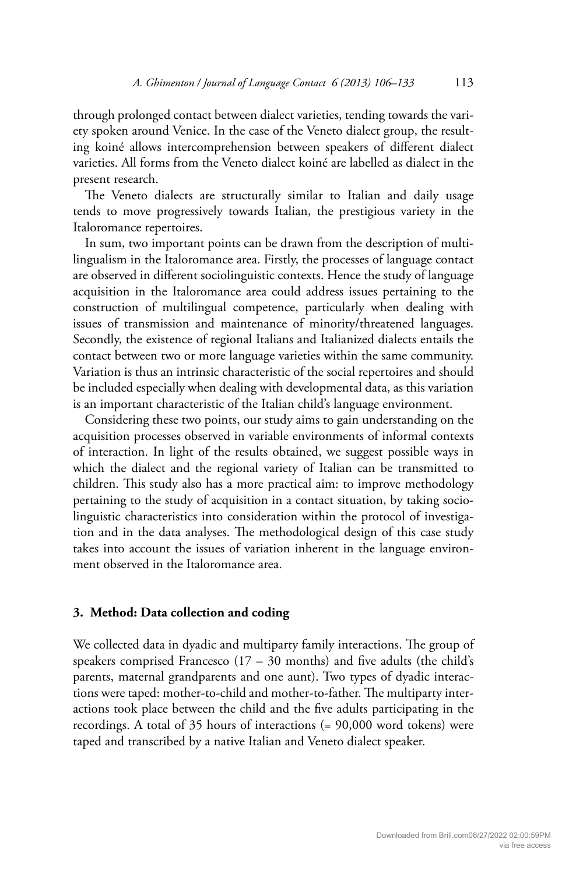through prolonged contact between dialect varieties, tending towards the variety spoken around Venice. In the case of the Veneto dialect group, the resulting koiné allows intercomprehension between speakers of different dialect varieties. All forms from the Veneto dialect koiné are labelled as dialect in the present research.

The Veneto dialects are structurally similar to Italian and daily usage tends to move progressively towards Italian, the prestigious variety in the Italoromance repertoires.

In sum, two important points can be drawn from the description of multilingualism in the Italoromance area. Firstly, the processes of language contact are observed in different sociolinguistic contexts. Hence the study of language acquisition in the Italoromance area could address issues pertaining to the construction of multilingual competence, particularly when dealing with issues of transmission and maintenance of minority/threatened languages. Secondly, the existence of regional Italians and Italianized dialects entails the contact between two or more language varieties within the same community. Variation is thus an intrinsic characteristic of the social repertoires and should be included especially when dealing with developmental data, as this variation is an important characteristic of the Italian child's language environment.

Considering these two points, our study aims to gain understanding on the acquisition processes observed in variable environments of informal contexts of interaction. In light of the results obtained, we suggest possible ways in which the dialect and the regional variety of Italian can be transmitted to children. This study also has a more practical aim: to improve methodology pertaining to the study of acquisition in a contact situation, by taking sociolinguistic characteristics into consideration within the protocol of investigation and in the data analyses. The methodological design of this case study takes into account the issues of variation inherent in the language environment observed in the Italoromance area.

## **3. Method: Data collection and coding**

We collected data in dyadic and multiparty family interactions. The group of speakers comprised Francesco  $(17 - 30 \text{ months})$  and five adults (the child's parents, maternal grandparents and one aunt). Two types of dyadic interactions were taped: mother-to-child and mother-to-father. The multiparty interactions took place between the child and the five adults participating in the recordings. A total of 35 hours of interactions (= 90,000 word tokens) were taped and transcribed by a native Italian and Veneto dialect speaker.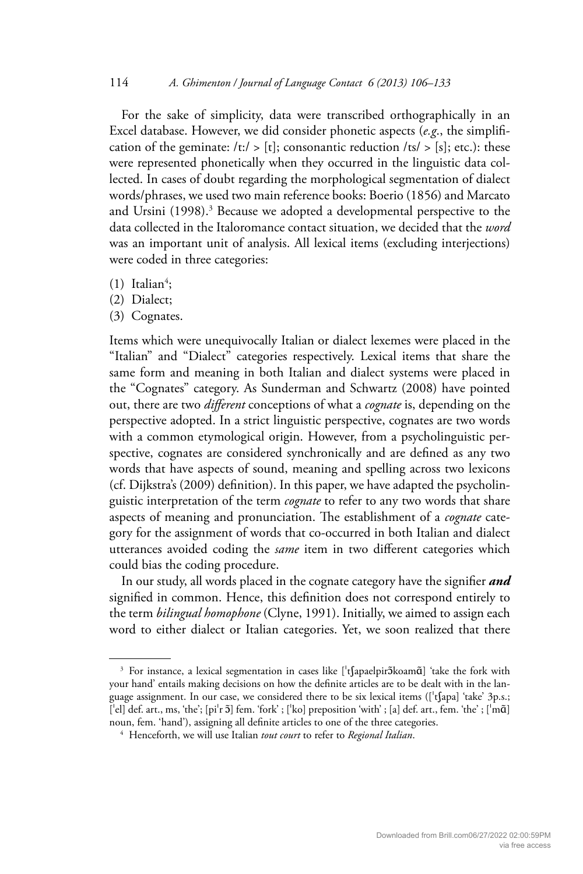For the sake of simplicity, data were transcribed orthographically in an Excel database. However, we did consider phonetic aspects (*e.g*., the simplification of the geminate:  $/tt$ :/ > [t]; consonantic reduction  $/ts$  > [s]; etc.): these were represented phonetically when they occurred in the linguistic data collected. In cases of doubt regarding the morphological segmentation of dialect words/phrases, we used two main reference books: Boerio (1856) and Marcato and Ursini (1998).<sup>3</sup> Because we adopted a developmental perspective to the data collected in the Italoromance contact situation, we decided that the *word* was an important unit of analysis. All lexical items (excluding interjections) were coded in three categories:

- $(1)$  Italian<sup>4</sup>;
- (2) Dialect;
- (3) Cognates.

Items which were unequivocally Italian or dialect lexemes were placed in the "Italian" and "Dialect" categories respectively. Lexical items that share the same form and meaning in both Italian and dialect systems were placed in the "Cognates" category. As Sunderman and Schwartz (2008) have pointed out, there are two *different* conceptions of what a *cognate* is, depending on the perspective adopted. In a strict linguistic perspective, cognates are two words with a common etymological origin. However, from a psycholinguistic perspective, cognates are considered synchronically and are defined as any two words that have aspects of sound, meaning and spelling across two lexicons (cf. Dijkstra's (2009) definition). In this paper, we have adapted the psycholinguistic interpretation of the term *cognate* to refer to any two words that share aspects of meaning and pronunciation. The establishment of a *cognate* category for the assignment of words that co-occurred in both Italian and dialect utterances avoided coding the *same* item in two different categories which could bias the coding procedure.

In our study, all words placed in the cognate category have the signifier *and* signified in common. Hence, this definition does not correspond entirely to the term *bilingual homophone* (Clyne, 1991). Initially, we aimed to assign each word to either dialect or Italian categories. Yet, we soon realized that there

<sup>&</sup>lt;sup>3</sup> For instance, a lexical segmentation in cases like ['tfapaelpirõkoamã] 'take the fork with your hand' entails making decisions on how the definite articles are to be dealt with in the language assignment. In our case, we considered there to be six lexical items ([ˈtʃapa] 'take' 3p.s.; [ˈel] def. art., ms, 'the'; [piˈr ɔ̃] fem. 'fork' ; [ˈko] preposition 'with' ; [a] def. art., fem. 'the' ; [ˈmɑ̃] noun, fem. 'hand'), assigning all definite articles to one of the three categories.

<sup>4</sup> Henceforth, we will use Italian *tout court* to refer to *Regional Italian*.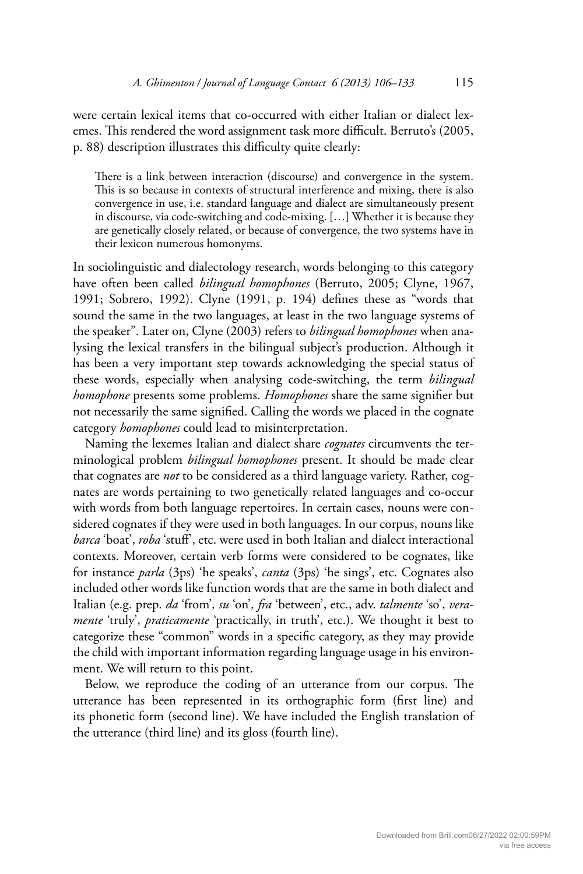were certain lexical items that co-occurred with either Italian or dialect lexemes. This rendered the word assignment task more difficult. Berruto's (2005, p. 88) description illustrates this difficulty quite clearly:

There is a link between interaction (discourse) and convergence in the system. This is so because in contexts of structural interference and mixing, there is also convergence in use, i.e. standard language and dialect are simultaneously present in discourse, via code-switching and code-mixing. […] Whether it is because they are genetically closely related, or because of convergence, the two systems have in their lexicon numerous homonyms.

In sociolinguistic and dialectology research, words belonging to this category have often been called *bilingual homophones* (Berruto, 2005; Clyne, 1967, 1991; Sobrero, 1992). Clyne (1991, p. 194) defines these as "words that sound the same in the two languages, at least in the two language systems of the speaker". Later on, Clyne (2003) refers to *bilingual homophones* when analysing the lexical transfers in the bilingual subject's production. Although it has been a very important step towards acknowledging the special status of these words, especially when analysing code-switching, the term *bilingual homophone* presents some problems. *Homophones* share the same signifier but not necessarily the same signified. Calling the words we placed in the cognate category *homophones* could lead to misinterpretation.

Naming the lexemes Italian and dialect share *cognates* circumvents the terminological problem *bilingual homophones* present. It should be made clear that cognates are *not* to be considered as a third language variety. Rather, cognates are words pertaining to two genetically related languages and co-occur with words from both language repertoires. In certain cases, nouns were considered cognates if they were used in both languages. In our corpus, nouns like *barca* 'boat', *roba* 'stuff', etc. were used in both Italian and dialect interactional contexts. Moreover, certain verb forms were considered to be cognates, like for instance *parla* (3ps) 'he speaks', *canta* (3ps) 'he sings', etc. Cognates also included other words like function words that are the same in both dialect and Italian (e.g. prep. *da* 'from'*, su* 'on'*, fra* 'between', etc., adv. *talmente* 'so', *veramente* 'truly', *praticamente* 'practically, in truth', etc.). We thought it best to categorize these "common" words in a specific category, as they may provide the child with important information regarding language usage in his environment. We will return to this point.

Below, we reproduce the coding of an utterance from our corpus. The utterance has been represented in its orthographic form (first line) and its phonetic form (second line). We have included the English translation of the utterance (third line) and its gloss (fourth line).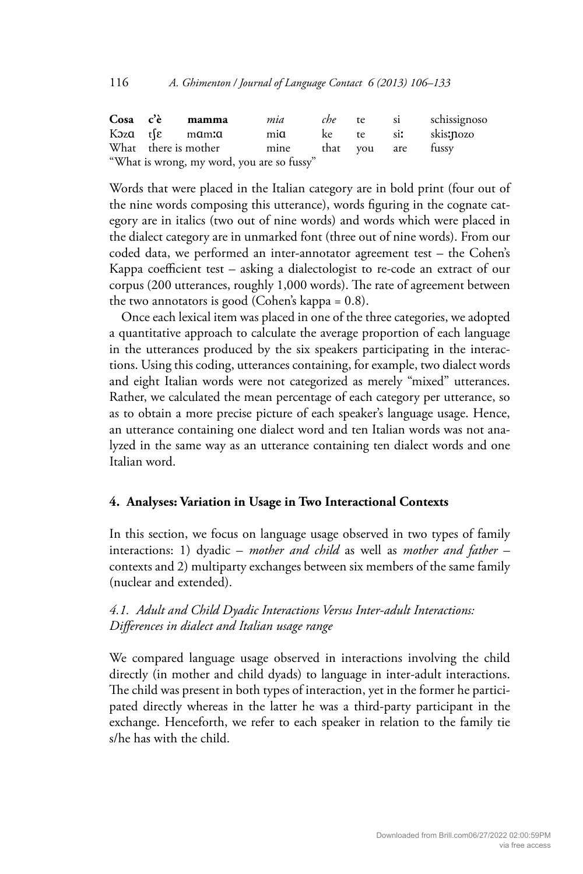| Cosa c'è | mamma                | mia                                        |              |       |     | <i>che</i> te si schissignoso |
|----------|----------------------|--------------------------------------------|--------------|-------|-----|-------------------------------|
|          | Koza tle mam:a       | mia                                        |              | ke te | si: | skis:nozo                     |
|          | What there is mother | mine                                       | that you are |       |     | fussy                         |
|          |                      | "What is wrong, my word, you are so fussy" |              |       |     |                               |

Words that were placed in the Italian category are in bold print (four out of the nine words composing this utterance), words figuring in the cognate category are in italics (two out of nine words) and words which were placed in the dialect category are in unmarked font (three out of nine words). From our coded data, we performed an inter-annotator agreement test – the Cohen's Kappa coefficient test – asking a dialectologist to re-code an extract of our corpus (200 utterances, roughly 1,000 words). The rate of agreement between the two annotators is good (Cohen's kappa  $= 0.8$ ).

Once each lexical item was placed in one of the three categories, we adopted a quantitative approach to calculate the average proportion of each language in the utterances produced by the six speakers participating in the interactions. Using this coding, utterances containing, for example, two dialect words and eight Italian words were not categorized as merely "mixed" utterances. Rather, we calculated the mean percentage of each category per utterance, so as to obtain a more precise picture of each speaker's language usage. Hence, an utterance containing one dialect word and ten Italian words was not analyzed in the same way as an utterance containing ten dialect words and one Italian word.

## **4. Analyses: Variation in Usage in Two Interactional Contexts**

In this section, we focus on language usage observed in two types of family interactions: 1) dyadic – *mother and child* as well as *mother and father* – contexts and 2) multiparty exchanges between six members of the same family (nuclear and extended).

## *4.1. Adult and Child Dyadic Interactions Versus Inter-adult Interactions: Differences in dialect and Italian usage range*

We compared language usage observed in interactions involving the child directly (in mother and child dyads) to language in inter-adult interactions. The child was present in both types of interaction, yet in the former he participated directly whereas in the latter he was a third-party participant in the exchange. Henceforth, we refer to each speaker in relation to the family tie s/he has with the child.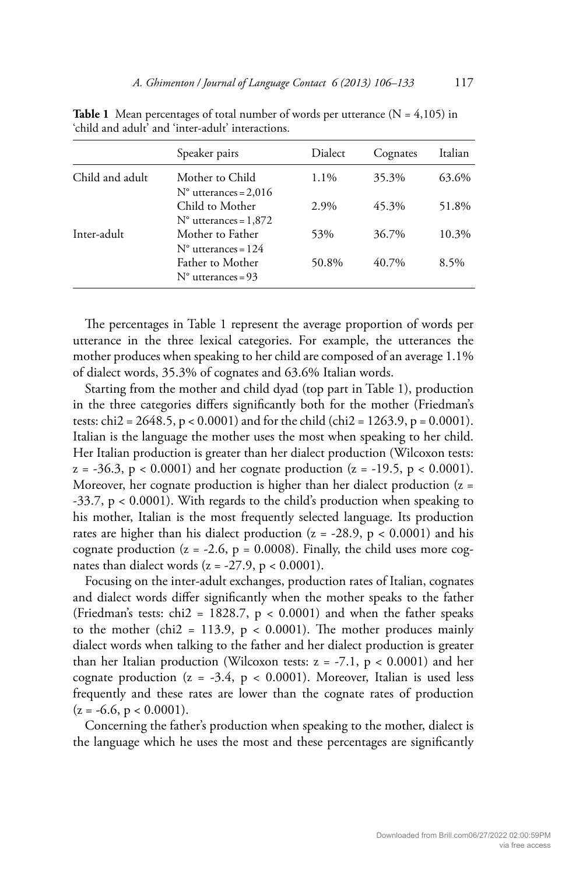|                 | Speaker pairs                                     | Dialect | Cognates | Italian |
|-----------------|---------------------------------------------------|---------|----------|---------|
| Child and adult | Mother to Child<br>$N^{\circ}$ utterances = 2,016 | 1.1%    | 35.3%    | 63.6%   |
|                 | Child to Mother<br>$N^{\circ}$ utterances = 1,872 | 2.9%    | 45.3%    | 51.8%   |
| Inter-adult     | Mother to Father<br>$N^{\circ}$ utterances = 124  | 53%     | 36.7%    | 10.3%   |
|                 | Father to Mother<br>$N^{\circ}$ utterances = 93   | 50.8%   | 40.7%    | 8.5%    |

**Table 1** Mean percentages of total number of words per utterance  $(N = 4, 105)$  in 'child and adult' and 'inter-adult' interactions.

The percentages in Table 1 represent the average proportion of words per utterance in the three lexical categories. For example, the utterances the mother produces when speaking to her child are composed of an average 1.1% of dialect words, 35.3% of cognates and 63.6% Italian words.

Starting from the mother and child dyad (top part in Table 1), production in the three categories differs significantly both for the mother (Friedman's tests: chi2 =  $2648.5$ , p < 0.0001) and for the child (chi2 =  $1263.9$ , p = 0.0001). Italian is the language the mother uses the most when speaking to her child. Her Italian production is greater than her dialect production (Wilcoxon tests:  $z = -36.3$ ,  $p < 0.0001$ ) and her cognate production ( $z = -19.5$ ,  $p < 0.0001$ ). Moreover, her cognate production is higher than her dialect production  $(z =$ -33.7, p < 0.0001). With regards to the child's production when speaking to his mother, Italian is the most frequently selected language. Its production rates are higher than his dialect production ( $z = -28.9$ ,  $p < 0.0001$ ) and his cognate production  $(z = -2.6, p = 0.0008)$ . Finally, the child uses more cognates than dialect words  $(z = -27.9, p < 0.0001)$ .

Focusing on the inter-adult exchanges, production rates of Italian, cognates and dialect words differ significantly when the mother speaks to the father (Friedman's tests: chi2 = 1828.7,  $p < 0.0001$ ) and when the father speaks to the mother (chi2 = 113.9,  $p < 0.0001$ ). The mother produces mainly dialect words when talking to the father and her dialect production is greater than her Italian production (Wilcoxon tests:  $z = -7.1$ ,  $p < 0.0001$ ) and her cognate production ( $z = -3.4$ ,  $p < 0.0001$ ). Moreover, Italian is used less frequently and these rates are lower than the cognate rates of production  $(z = -6.6, p < 0.0001).$ 

Concerning the father's production when speaking to the mother, dialect is the language which he uses the most and these percentages are significantly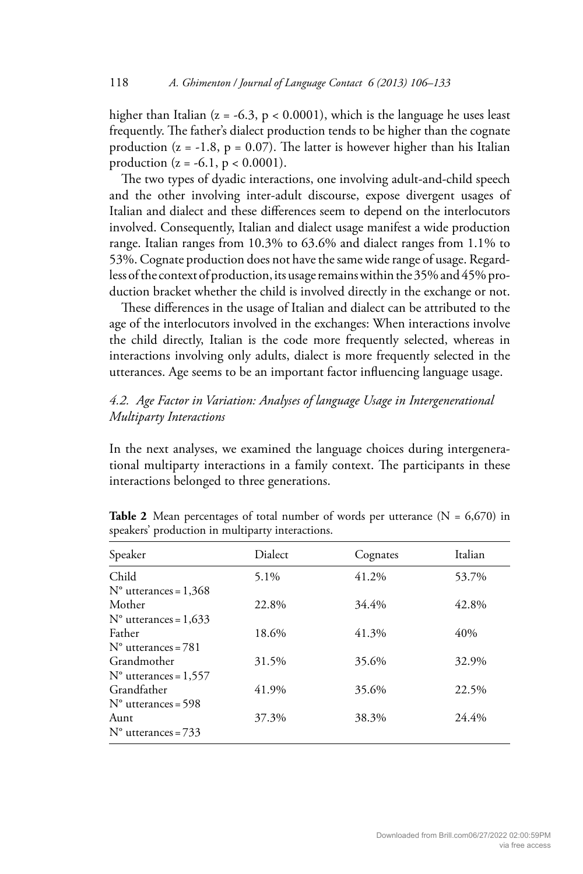higher than Italian ( $z = -6.3$ ,  $p < 0.0001$ ), which is the language he uses least frequently. The father's dialect production tends to be higher than the cognate production  $(z = -1.8, p = 0.07)$ . The latter is however higher than his Italian production ( $z = -6.1$ ,  $p < 0.0001$ ).

The two types of dyadic interactions, one involving adult-and-child speech and the other involving inter-adult discourse, expose divergent usages of Italian and dialect and these differences seem to depend on the interlocutors involved. Consequently, Italian and dialect usage manifest a wide production range. Italian ranges from 10.3% to 63.6% and dialect ranges from 1.1% to 53%. Cognate production does not have the same wide range of usage. Regardless of the context of production, its usage remains within the 35% and 45% production bracket whether the child is involved directly in the exchange or not.

These differences in the usage of Italian and dialect can be attributed to the age of the interlocutors involved in the exchanges: When interactions involve the child directly, Italian is the code more frequently selected, whereas in interactions involving only adults, dialect is more frequently selected in the utterances. Age seems to be an important factor influencing language usage.

# *4.2. Age Factor in Variation: Analyses of language Usage in Intergenerational Multiparty Interactions*

In the next analyses, we examined the language choices during intergenerational multiparty interactions in a family context. The participants in these interactions belonged to three generations.

| Dialect | Cognates | Italian |
|---------|----------|---------|
| 5.1%    | 41.2%    | 53.7%   |
|         |          |         |
| 22.8%   | 34.4%    | 42.8%   |
|         |          |         |
| 18.6%   | 41.3%    | 40%     |
|         |          |         |
| 31.5%   | 35.6%    | 32.9%   |
|         |          |         |
| 41.9%   | 35.6%    | 22.5%   |
|         |          |         |
| 37.3%   | 38.3%    | 24.4%   |
|         |          |         |
|         |          |         |

**Table 2** Mean percentages of total number of words per utterance  $(N = 6,670)$  in speakers' production in multiparty interactions.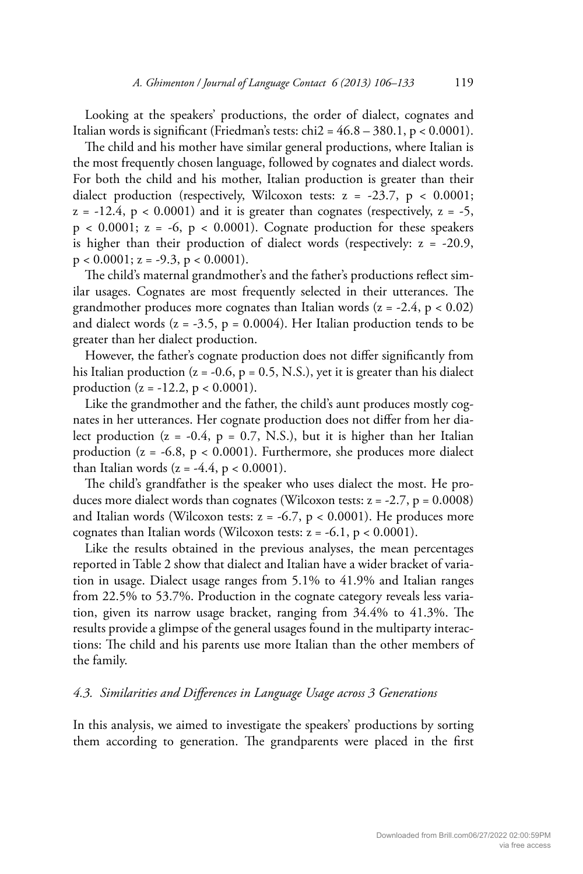Looking at the speakers' productions, the order of dialect, cognates and Italian words is significant (Friedman's tests: chi $2 = 46.8 - 380.1$ , p < 0.0001).

The child and his mother have similar general productions, where Italian is the most frequently chosen language, followed by cognates and dialect words. For both the child and his mother, Italian production is greater than their dialect production (respectively, Wilcoxon tests:  $z = -23.7$ ,  $p < 0.0001$ ;  $z = -12.4$ ,  $p < 0.0001$ ) and it is greater than cognates (respectively,  $z = -5$ ,  $p < 0.0001$ ;  $z = -6$ ,  $p < 0.0001$ ). Cognate production for these speakers is higher than their production of dialect words (respectively:  $z = -20.9$ ,  $p < 0.0001$ ;  $z = -9.3$ ,  $p < 0.0001$ ).

The child's maternal grandmother's and the father's productions reflect similar usages. Cognates are most frequently selected in their utterances. The grandmother produces more cognates than Italian words  $(z = -2.4, p < 0.02)$ and dialect words  $(z = -3.5, p = 0.0004)$ . Her Italian production tends to be greater than her dialect production.

However, the father's cognate production does not differ significantly from his Italian production ( $z = -0.6$ ,  $p = 0.5$ , N.S.), yet it is greater than his dialect production  $(z = -12.2, p < 0.0001)$ .

Like the grandmother and the father, the child's aunt produces mostly cognates in her utterances. Her cognate production does not differ from her dialect production  $(z = -0.4, p = 0.7, N.S.),$  but it is higher than her Italian production ( $z = -6.8$ ,  $p < 0.0001$ ). Furthermore, she produces more dialect than Italian words ( $z = -4.4$ ,  $p < 0.0001$ ).

The child's grandfather is the speaker who uses dialect the most. He produces more dialect words than cognates (Wilcoxon tests:  $z = -2.7$ ,  $p = 0.0008$ ) and Italian words (Wilcoxon tests:  $z = -6.7$ ,  $p < 0.0001$ ). He produces more cognates than Italian words (Wilcoxon tests:  $z = -6.1$ ,  $p < 0.0001$ ).

Like the results obtained in the previous analyses, the mean percentages reported in Table 2 show that dialect and Italian have a wider bracket of variation in usage. Dialect usage ranges from 5.1% to 41.9% and Italian ranges from 22.5% to 53.7%. Production in the cognate category reveals less variation, given its narrow usage bracket, ranging from 34.4% to 41.3%. The results provide a glimpse of the general usages found in the multiparty interactions: The child and his parents use more Italian than the other members of the family.

#### *4.3. Similarities and Differences in Language Usage across 3 Generations*

In this analysis, we aimed to investigate the speakers' productions by sorting them according to generation. The grandparents were placed in the first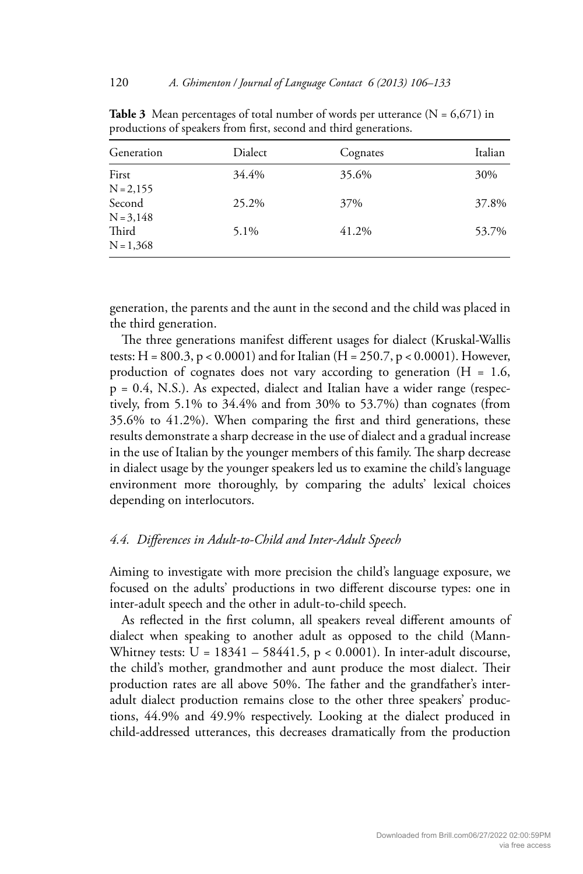| Generation            | Dialect | Cognates | Italian |
|-----------------------|---------|----------|---------|
| First<br>$N = 2,155$  | 34.4%   | 35.6%    | 30%     |
| Second<br>$N = 3,148$ | 25.2%   | 37%      | 37.8%   |
| Third<br>$N = 1,368$  | 5.1%    | 41.2%    | 53.7%   |

**Table 3** Mean percentages of total number of words per utterance  $(N = 6,671)$  in productions of speakers from first, second and third generations.

generation, the parents and the aunt in the second and the child was placed in the third generation.

The three generations manifest different usages for dialect (Kruskal-Wallis tests: H = 800.3, p < 0.0001) and for Italian (H = 250.7, p < 0.0001). However, production of cognates does not vary according to generation  $(H = 1.6,$  $p = 0.4$ , N.S.). As expected, dialect and Italian have a wider range (respectively, from 5.1% to 34.4% and from 30% to 53.7%) than cognates (from 35.6% to 41.2%). When comparing the first and third generations, these results demonstrate a sharp decrease in the use of dialect and a gradual increase in the use of Italian by the younger members of this family. The sharp decrease in dialect usage by the younger speakers led us to examine the child's language environment more thoroughly, by comparing the adults' lexical choices depending on interlocutors.

#### *4.4. Differences in Adult-to-Child and Inter-Adult Speech*

Aiming to investigate with more precision the child's language exposure, we focused on the adults' productions in two different discourse types: one in inter-adult speech and the other in adult-to-child speech.

As reflected in the first column, all speakers reveal different amounts of dialect when speaking to another adult as opposed to the child (Mann-Whitney tests:  $U = 18341 - 58441.5$ ,  $p < 0.0001$ ). In inter-adult discourse, the child's mother, grandmother and aunt produce the most dialect. Their production rates are all above 50%. The father and the grandfather's interadult dialect production remains close to the other three speakers' productions, 44.9% and 49.9% respectively. Looking at the dialect produced in child-addressed utterances, this decreases dramatically from the production

Downloaded from Brill.com06/27/2022 02:00:59PM

via free access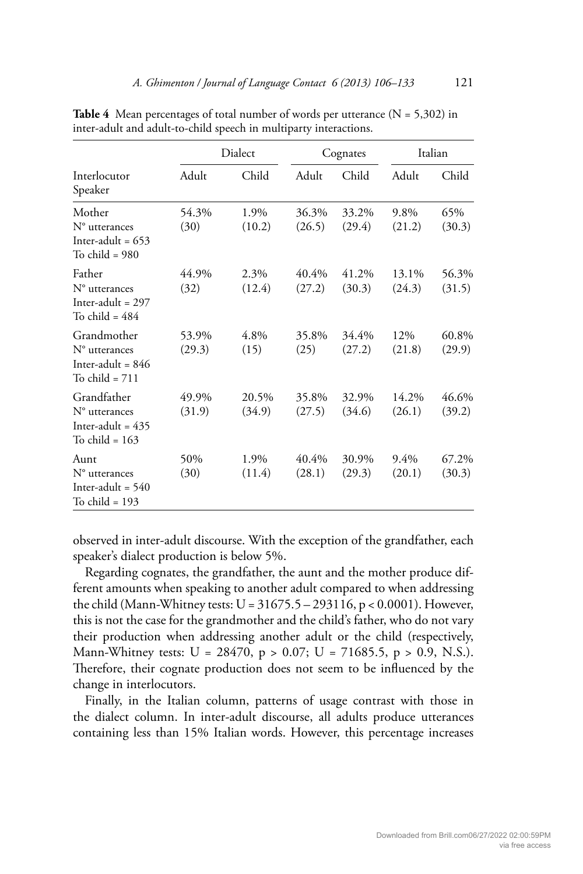|                                                                         |                 | Dialect         |                 | Cognates        |                 | Italian         |
|-------------------------------------------------------------------------|-----------------|-----------------|-----------------|-----------------|-----------------|-----------------|
| Interlocutor<br>Speaker                                                 | Adult           | Child           | Adult           | Child           | Adult           | Child           |
| Mother<br>N° utterances<br>Inter-adult = $653$<br>To child $= 980$      | 54.3%<br>(30)   | 1.9%<br>(10.2)  | 36.3%<br>(26.5) | 33.2%<br>(29.4) | 9.8%<br>(21.2)  | 65%<br>(30.3)   |
| Father<br>N° utterances<br>Inter-adult = $297$<br>To child = $484$      | 44.9%<br>(32)   | 2.3%<br>(12.4)  | 40.4%<br>(27.2) | 41.2%<br>(30.3) | 13.1%<br>(24.3) | 56.3%<br>(31.5) |
| Grandmother<br>N° utterances<br>Inter-adult = $846$<br>To child $= 711$ | 53.9%<br>(29.3) | 4.8%<br>(15)    | 35.8%<br>(25)   | 34.4%<br>(27.2) | 12%<br>(21.8)   | 60.8%<br>(29.9) |
| Grandfather<br>N° utterances<br>Inter-adult = $435$<br>To child = $163$ | 49.9%<br>(31.9) | 20.5%<br>(34.9) | 35.8%<br>(27.5) | 32.9%<br>(34.6) | 14.2%<br>(26.1) | 46.6%<br>(39.2) |
| Aunt<br>N° utterances<br>Inter-adult = $540$<br>To child $= 193$        | 50%<br>(30)     | 1.9%<br>(11.4)  | 40.4%<br>(28.1) | 30.9%<br>(29.3) | 9.4%<br>(20.1)  | 67.2%<br>(30.3) |

**Table 4** Mean percentages of total number of words per utterance  $(N = 5,302)$  in inter-adult and adult-to-child speech in multiparty interactions.

observed in inter-adult discourse. With the exception of the grandfather, each speaker's dialect production is below 5%.

Regarding cognates, the grandfather, the aunt and the mother produce different amounts when speaking to another adult compared to when addressing the child (Mann-Whitney tests: U = 31675.5 – 293116, p < 0.0001). However, this is not the case for the grandmother and the child's father, who do not vary their production when addressing another adult or the child (respectively, Mann-Whitney tests: U = 28470, p > 0.07; U = 71685.5, p > 0.9, N.S.). Therefore, their cognate production does not seem to be influenced by the change in interlocutors.

Finally, in the Italian column, patterns of usage contrast with those in the dialect column. In inter-adult discourse, all adults produce utterances containing less than 15% Italian words. However, this percentage increases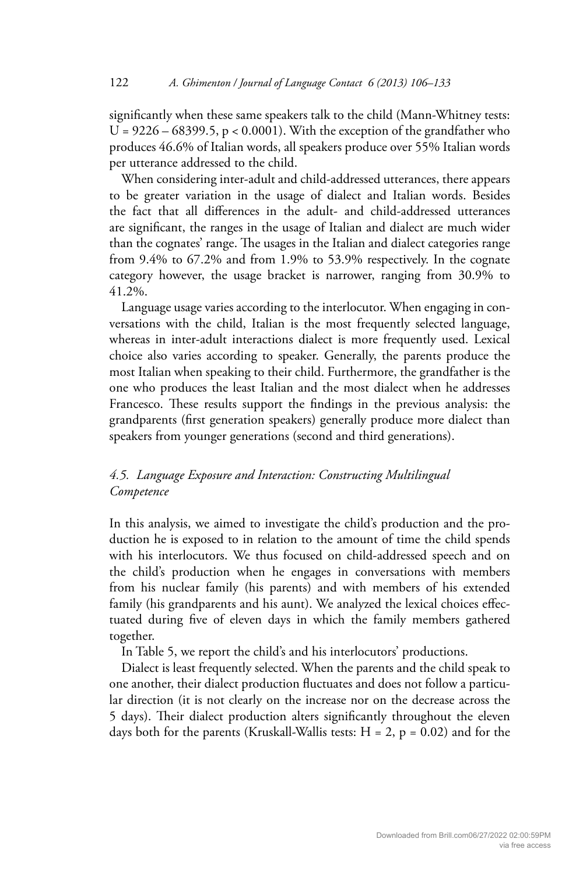significantly when these same speakers talk to the child (Mann-Whitney tests: U =  $9226 - 68399.5$ , p < 0.0001). With the exception of the grandfather who produces 46.6% of Italian words, all speakers produce over 55% Italian words per utterance addressed to the child.

When considering inter-adult and child-addressed utterances, there appears to be greater variation in the usage of dialect and Italian words. Besides the fact that all differences in the adult- and child-addressed utterances are significant, the ranges in the usage of Italian and dialect are much wider than the cognates' range. The usages in the Italian and dialect categories range from 9.4% to 67.2% and from 1.9% to 53.9% respectively. In the cognate category however, the usage bracket is narrower, ranging from 30.9% to 41.2%.

Language usage varies according to the interlocutor. When engaging in conversations with the child, Italian is the most frequently selected language, whereas in inter-adult interactions dialect is more frequently used. Lexical choice also varies according to speaker. Generally, the parents produce the most Italian when speaking to their child. Furthermore, the grandfather is the one who produces the least Italian and the most dialect when he addresses Francesco. These results support the findings in the previous analysis: the grandparents (first generation speakers) generally produce more dialect than speakers from younger generations (second and third generations).

## *4.5. Language Exposure and Interaction: Constructing Multilingual Competence*

In this analysis, we aimed to investigate the child's production and the production he is exposed to in relation to the amount of time the child spends with his interlocutors. We thus focused on child-addressed speech and on the child's production when he engages in conversations with members from his nuclear family (his parents) and with members of his extended family (his grandparents and his aunt). We analyzed the lexical choices effectuated during five of eleven days in which the family members gathered together.

In Table 5, we report the child's and his interlocutors' productions.

Dialect is least frequently selected. When the parents and the child speak to one another, their dialect production fluctuates and does not follow a particular direction (it is not clearly on the increase nor on the decrease across the 5 days). Their dialect production alters significantly throughout the eleven days both for the parents (Kruskall-Wallis tests:  $H = 2$ ,  $p = 0.02$ ) and for the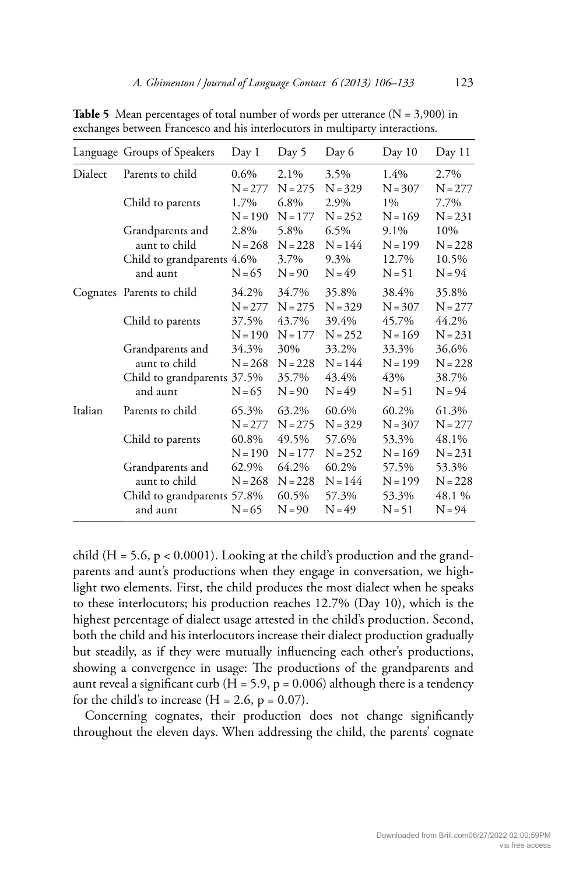|         | Language Groups of Speakers             | Day 1                | Day 5              | Day 6                | Day $10$           | Day 11             |
|---------|-----------------------------------------|----------------------|--------------------|----------------------|--------------------|--------------------|
| Dialect | Parents to child                        | $0.6\%$<br>$N = 277$ | 2.1%<br>$N = 275$  | 3.5%<br>$N = 329$    | 1.4%<br>$N = 307$  | 2.7%<br>$N = 277$  |
|         | Child to parents                        | 1.7%<br>$N = 190$    | 6.8%<br>$N = 177$  | 2.9%<br>$N = 252$    | $1\%$<br>$N = 169$ | 7.7%<br>$N = 231$  |
|         | Grandparents and<br>aunt to child       | 2.8%<br>$N = 268$    | 5.8%<br>$N = 228$  | $6.5\%$<br>$N = 144$ | 9.1%<br>$N = 199$  | 10%<br>$N = 228$   |
|         | Child to grandparents 4.6%<br>and aunt  | $N = 65$             | 3.7%<br>$N = 90$   | 9.3%<br>$N = 49$     | 12.7%<br>$N = 51$  | 10.5%<br>$N = 94$  |
|         | Cognates Parents to child               | 34.2%<br>$N = 277$   | 34.7%<br>$N = 275$ | 35.8%<br>$N = 329$   | 38.4%<br>$N = 307$ | 35.8%<br>$N = 277$ |
|         | Child to parents                        | 37.5%<br>$N = 190$   | 43.7%<br>$N = 177$ | 39.4%<br>$N = 252$   | 45.7%<br>$N = 169$ | 44.2%<br>$N = 231$ |
|         | Grandparents and<br>aunt to child       | 34.3%<br>$N = 268$   | 30%<br>$N = 228$   | 33.2%<br>$N = 144$   | 33.3%<br>$N = 199$ | 36.6%<br>$N = 228$ |
|         | Child to grandparents 37.5%<br>and aunt | $N = 65$             | 35.7%<br>$N = 90$  | 43.4%<br>$N = 49$    | 43%<br>$N = 51$    | 38.7%<br>$N = 94$  |
| Italian | Parents to child                        | 65.3%<br>$N = 277$   | 63.2%<br>$N = 275$ | 60.6%<br>$N = 329$   | 60.2%<br>$N = 307$ | 61.3%<br>$N = 277$ |
|         | Child to parents                        | 60.8%<br>$N = 190$   | 49.5%<br>$N = 177$ | 57.6%<br>$N = 252$   | 53.3%<br>$N = 169$ | 48.1%<br>$N = 231$ |
|         | Grandparents and<br>aunt to child       | 62.9%<br>$N = 268$   | 64.2%<br>$N = 228$ | 60.2%<br>$N = 144$   | 57.5%<br>$N = 199$ | 53.3%<br>$N = 228$ |
|         | Child to grandparents 57.8%<br>and aunt | $N = 65$             | 60.5%<br>$N = 90$  | 57.3%<br>$N = 49$    | 53.3%<br>$N = 51$  | 48.1 %<br>$N = 94$ |

**Table 5** Mean percentages of total number of words per utterance  $(N = 3,900)$  in exchanges between Francesco and his interlocutors in multiparty interactions.

child (H =  $5.6$ ,  $p < 0.0001$ ). Looking at the child's production and the grandparents and aunt's productions when they engage in conversation, we highlight two elements. First, the child produces the most dialect when he speaks to these interlocutors; his production reaches 12.7% (Day 10), which is the highest percentage of dialect usage attested in the child's production. Second, both the child and his interlocutors increase their dialect production gradually but steadily, as if they were mutually influencing each other's productions, showing a convergence in usage: The productions of the grandparents and aunt reveal a significant curb ( $H = 5.9$ ,  $p = 0.006$ ) although there is a tendency for the child's to increase  $(H = 2.6, p = 0.07)$ .

Concerning cognates, their production does not change significantly throughout the eleven days. When addressing the child, the parents' cognate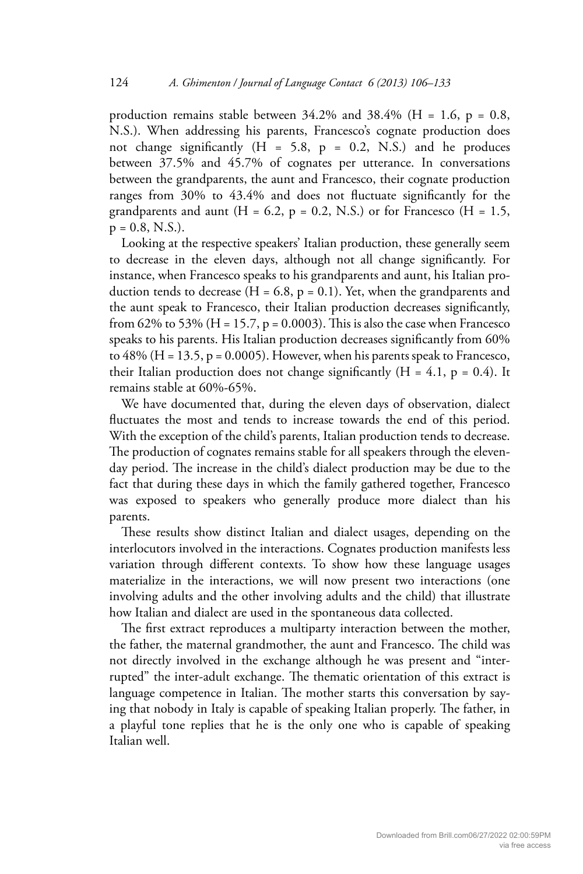production remains stable between  $34.2\%$  and  $38.4\%$  (H = 1.6, p = 0.8, N.S.). When addressing his parents, Francesco's cognate production does not change significantly  $(H = 5.8, p = 0.2, N.S.)$  and he produces between 37.5% and 45.7% of cognates per utterance. In conversations between the grandparents, the aunt and Francesco, their cognate production ranges from 30% to 43.4% and does not fluctuate significantly for the grandparents and aunt ( $H = 6.2$ ,  $p = 0.2$ , N.S.) or for Francesco ( $H = 1.5$ ,  $p = 0.8$ , N.S.).

Looking at the respective speakers' Italian production, these generally seem to decrease in the eleven days, although not all change significantly. For instance, when Francesco speaks to his grandparents and aunt, his Italian production tends to decrease (H =  $6.8$ , p = 0.1). Yet, when the grandparents and the aunt speak to Francesco, their Italian production decreases significantly, from 62% to 53% (H = 15.7, p = 0.0003). This is also the case when Francesco speaks to his parents. His Italian production decreases significantly from 60% to  $48\%$  (H = 13.5, p = 0.0005). However, when his parents speak to Francesco, their Italian production does not change significantly  $(H = 4.1, p = 0.4)$ . It remains stable at 60%-65%.

We have documented that, during the eleven days of observation, dialect fluctuates the most and tends to increase towards the end of this period. With the exception of the child's parents, Italian production tends to decrease. The production of cognates remains stable for all speakers through the elevenday period. The increase in the child's dialect production may be due to the fact that during these days in which the family gathered together, Francesco was exposed to speakers who generally produce more dialect than his parents.

These results show distinct Italian and dialect usages, depending on the interlocutors involved in the interactions. Cognates production manifests less variation through different contexts. To show how these language usages materialize in the interactions, we will now present two interactions (one involving adults and the other involving adults and the child) that illustrate how Italian and dialect are used in the spontaneous data collected.

The first extract reproduces a multiparty interaction between the mother, the father, the maternal grandmother, the aunt and Francesco. The child was not directly involved in the exchange although he was present and "interrupted" the inter-adult exchange. The thematic orientation of this extract is language competence in Italian. The mother starts this conversation by saying that nobody in Italy is capable of speaking Italian properly. The father, in a playful tone replies that he is the only one who is capable of speaking Italian well.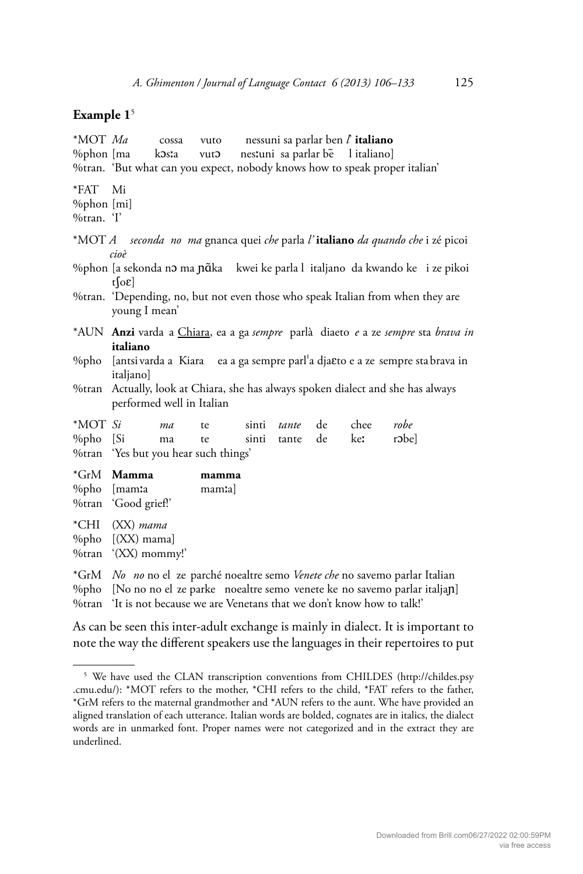#### **Example 1**<sup>5</sup>

\*MOT *Ma* cossa vuto nessuni sa parlar ben *l*' **italiano** %phon [ma kɔsːa vutɔ nesːuni sa parlar bẽ l italiano] %tran. 'But what can you expect, nobody knows how to speak proper italian' \*FAT Mi %phon [mi] %tran. 'I' \*MOT *A seconda no ma* gnanca quei *che* parla *l'* **italiano** *da quando che* i zé picoi *cioè* %phon [a sekonda nɔ ma ɲɑ̃ka kwei ke parla l italjano da kwando ke i ze pikoi tʃoɛ] %tran. 'Depending, no, but not even those who speak Italian from when they are young I mean' \*AUN **Anzi** varda a Chiara, ea a ga *sempre* parlà diaeto *e* a ze *sempre* sta *brava in* **italiano** %pho [antsi varda a Kiara ea a ga sempre parlˈa djaɛto e a ze sempre stabrava in italjano] %tran Actually, look at Chiara, she has always spoken dialect and she has always performed well in Italian \*MOT *Si ma* te sinti *tante* de chee *robe* %pho [Si ma te sinti tante de keː rɔbe] %tran 'Yes but you hear such things' \*GrM **Mamma mamma** %pho [mamːa mamːa] %tran 'Good grief!' \*CHI (XX) *mama* %pho [(XX) mama] %tran '(XX) mommy!'

\*GrM *No no* no el ze parché noealtre semo *Venete che* no savemo parlar Italian %pho [No no no el ze parke noealtre semo venete ke no savemo parlar italjaɲ] %tran 'It is not because we are Venetans that we don't know how to talk!'

As can be seen this inter-adult exchange is mainly in dialect. It is important to note the way the different speakers use the languages in their repertoires to put

<sup>5</sup> We have used the CLAN transcription conventions from CHILDES (http://childes.psy .cmu.edu/): \*MOT refers to the mother, \*CHI refers to the child, \*FAT refers to the father, \*GrM refers to the maternal grandmother and \*AUN refers to the aunt. Whe have provided an aligned translation of each utterance. Italian words are bolded, cognates are in italics, the dialect words are in unmarked font. Proper names were not categorized and in the extract they are underlined.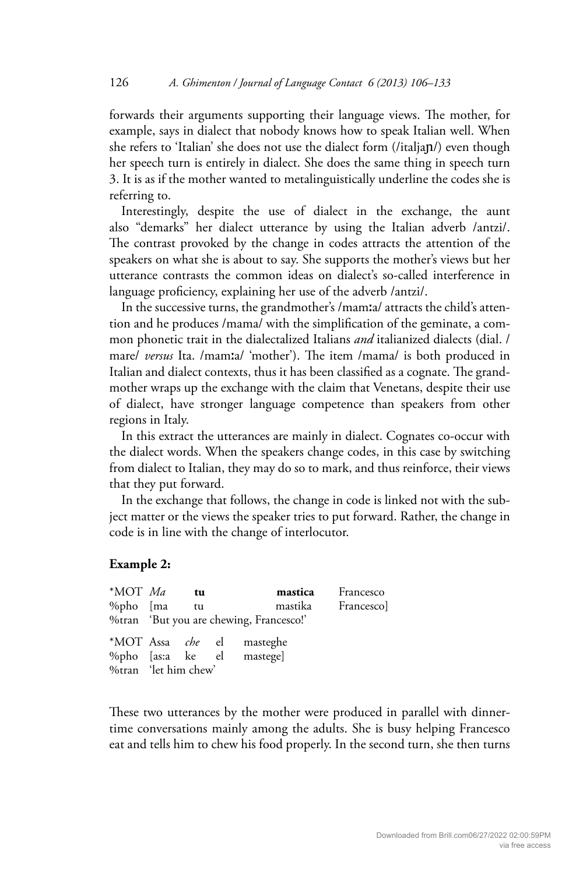forwards their arguments supporting their language views. The mother, for example, says in dialect that nobody knows how to speak Italian well. When she refers to 'Italian' she does not use the dialect form (/italjaɲ/) even though her speech turn is entirely in dialect. She does the same thing in speech turn 3. It is as if the mother wanted to metalinguistically underline the codes she is referring to.

Interestingly, despite the use of dialect in the exchange, the aunt also "demarks" her dialect utterance by using the Italian adverb /antzi/. The contrast provoked by the change in codes attracts the attention of the speakers on what she is about to say. She supports the mother's views but her utterance contrasts the common ideas on dialect's so-called interference in language proficiency, explaining her use of the adverb /antzi/.

In the successive turns, the grandmother's /mamːa/ attracts the child's attention and he produces /mama/ with the simplification of the geminate, a common phonetic trait in the dialectalized Italians *and* italianized dialects (dial. / mare/ *versus* Ita. /mamːa/ 'mother'). The item /mama/ is both produced in Italian and dialect contexts, thus it has been classified as a cognate. The grandmother wraps up the exchange with the claim that Venetans, despite their use of dialect, have stronger language competence than speakers from other regions in Italy.

In this extract the utterances are mainly in dialect. Cognates co-occur with the dialect words. When the speakers change codes, in this case by switching from dialect to Italian, they may do so to mark, and thus reinforce, their views that they put forward.

In the exchange that follows, the change in code is linked not with the subject matter or the views the speaker tries to put forward. Rather, the change in code is in line with the change of interlocutor.

#### **Example 2:**

\*MOT *Ma*    **tu mastica**     Francesco %pho [ma tu mastika Francesco] %tran 'But you are chewing, Francesco!' \*MOT Assa *che* el masteghe %pho [as:a ke el mastege] %tran 'let him chew'

These two utterances by the mother were produced in parallel with dinnertime conversations mainly among the adults. She is busy helping Francesco eat and tells him to chew his food properly. In the second turn, she then turns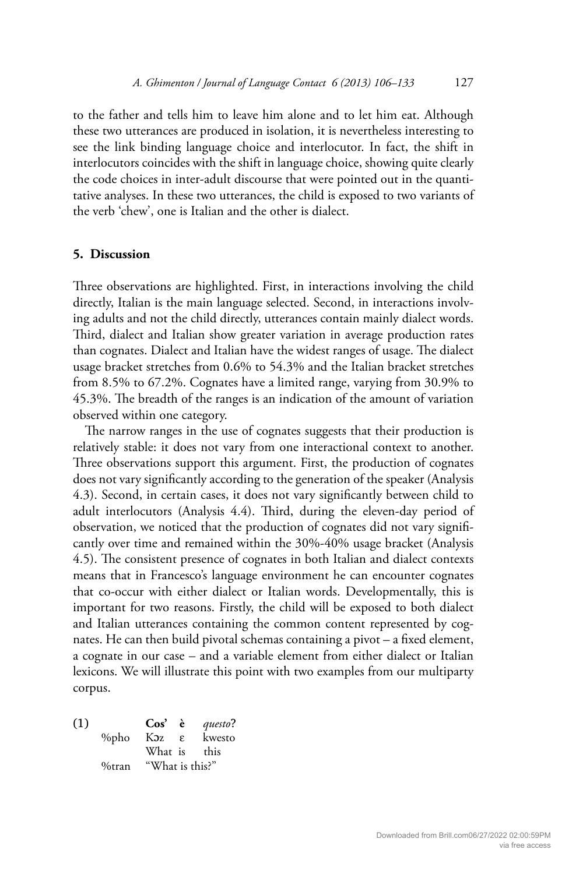to the father and tells him to leave him alone and to let him eat. Although these two utterances are produced in isolation, it is nevertheless interesting to see the link binding language choice and interlocutor. In fact, the shift in interlocutors coincides with the shift in language choice, showing quite clearly the code choices in inter-adult discourse that were pointed out in the quantitative analyses. In these two utterances, the child is exposed to two variants of the verb 'chew', one is Italian and the other is dialect.

#### **5. Discussion**

Three observations are highlighted. First, in interactions involving the child directly, Italian is the main language selected. Second, in interactions involving adults and not the child directly, utterances contain mainly dialect words. Third, dialect and Italian show greater variation in average production rates than cognates. Dialect and Italian have the widest ranges of usage. The dialect usage bracket stretches from 0.6% to 54.3% and the Italian bracket stretches from 8.5% to 67.2%. Cognates have a limited range, varying from 30.9% to 45.3%. The breadth of the ranges is an indication of the amount of variation observed within one category.

The narrow ranges in the use of cognates suggests that their production is relatively stable: it does not vary from one interactional context to another. Three observations support this argument. First, the production of cognates does not vary significantly according to the generation of the speaker (Analysis 4.3). Second, in certain cases, it does not vary significantly between child to adult interlocutors (Analysis 4.4). Third, during the eleven-day period of observation, we noticed that the production of cognates did not vary significantly over time and remained within the 30%-40% usage bracket (Analysis 4.5). The consistent presence of cognates in both Italian and dialect contexts means that in Francesco's language environment he can encounter cognates that co-occur with either dialect or Italian words. Developmentally, this is important for two reasons. Firstly, the child will be exposed to both dialect and Italian utterances containing the common content represented by cognates. He can then build pivotal schemas containing a pivot – a fixed element, a cognate in our case – and a variable element from either dialect or Italian lexicons. We will illustrate this point with two examples from our multiparty corpus.

|           | $Cos^2$<br>è         | questo?                         |
|-----------|----------------------|---------------------------------|
| %pho      | Koz<br>$\varepsilon$ | kwesto                          |
|           |                      |                                 |
| $\%$ tran |                      |                                 |
|           |                      | What is this<br>"What is this?" |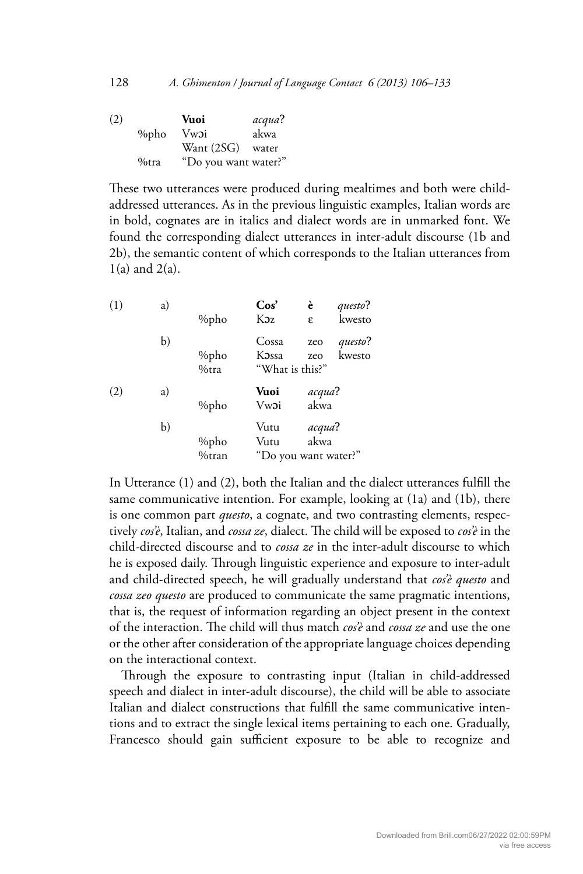| (2) |      | Vuoi                 | acqua? |
|-----|------|----------------------|--------|
|     | %pho | Vw <sub>0</sub> i    | akwa   |
|     |      | Want (2SG)           | water  |
|     | %tra | "Do you want water?" |        |

These two utterances were produced during mealtimes and both were childaddressed utterances. As in the previous linguistic examples, Italian words are in bold, cognates are in italics and dialect words are in unmarked font. We found the corresponding dialect utterances in inter-adult discourse (1b and 2b), the semantic content of which corresponds to the Italian utterances from  $1(a)$  and  $2(a)$ .

| (1) | a) |       | Cos'            | è      | questo?              |
|-----|----|-------|-----------------|--------|----------------------|
|     |    | %pho  | Koz             | ε      | kwesto               |
|     | b) |       | Cossa           | zeo    | questo?              |
|     |    | %pho  | Kossa           | zeo    | kwesto               |
|     |    | %tra  | "What is this?" |        |                      |
| (2) | a) |       | <b>Vuoi</b>     | acqua? |                      |
|     |    | %pho  | Vwoi            | akwa   |                      |
|     | b) |       | Vutu            | acqua? |                      |
|     |    | %pho  | Vutu            | akwa   |                      |
|     |    | %tran |                 |        | "Do you want water?" |

In Utterance (1) and (2), both the Italian and the dialect utterances fulfill the same communicative intention. For example, looking at (1a) and (1b), there is one common part *questo*, a cognate, and two contrasting elements, respectively *cos'è*, Italian, and *cossa ze*, dialect. The child will be exposed to *cos'è* in the child-directed discourse and to *cossa ze* in the inter-adult discourse to which he is exposed daily. Through linguistic experience and exposure to inter-adult and child-directed speech, he will gradually understand that *cos'è questo* and *cossa zeo questo* are produced to communicate the same pragmatic intentions, that is, the request of information regarding an object present in the context of the interaction. The child will thus match *cos'è* and *cossa ze* and use the one or the other after consideration of the appropriate language choices depending on the interactional context.

Through the exposure to contrasting input (Italian in child-addressed speech and dialect in inter-adult discourse), the child will be able to associate Italian and dialect constructions that fulfill the same communicative intentions and to extract the single lexical items pertaining to each one. Gradually, Francesco should gain sufficient exposure to be able to recognize and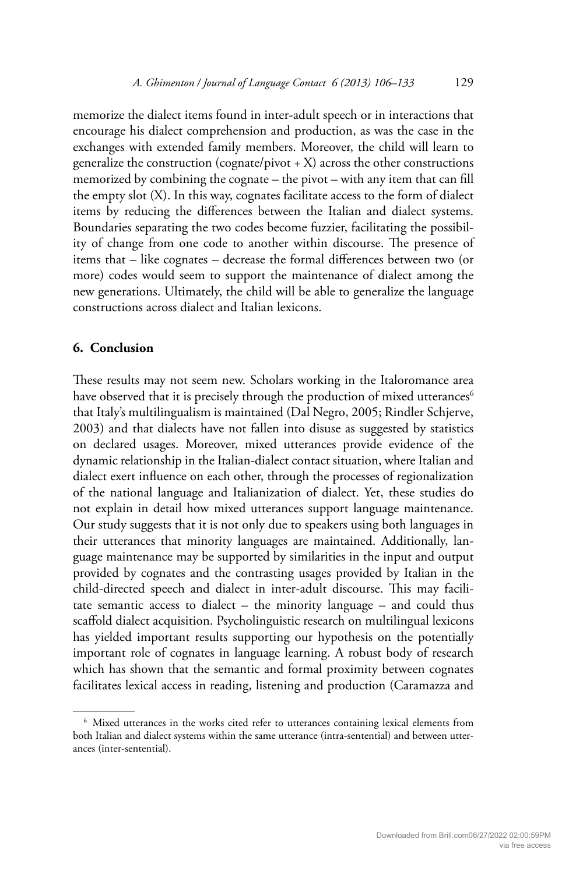memorize the dialect items found in inter-adult speech or in interactions that encourage his dialect comprehension and production, as was the case in the exchanges with extended family members. Moreover, the child will learn to generalize the construction (cognate/pivot + X) across the other constructions memorized by combining the cognate – the pivot – with any item that can fill the empty slot (X). In this way, cognates facilitate access to the form of dialect items by reducing the differences between the Italian and dialect systems. Boundaries separating the two codes become fuzzier, facilitating the possibility of change from one code to another within discourse. The presence of items that – like cognates – decrease the formal differences between two (or more) codes would seem to support the maintenance of dialect among the new generations. Ultimately, the child will be able to generalize the language constructions across dialect and Italian lexicons.

## **6. Conclusion**

These results may not seem new. Scholars working in the Italoromance area have observed that it is precisely through the production of mixed utterances<sup>6</sup> that Italy's multilingualism is maintained (Dal Negro, 2005; Rindler Schjerve, 2003) and that dialects have not fallen into disuse as suggested by statistics on declared usages. Moreover, mixed utterances provide evidence of the dynamic relationship in the Italian-dialect contact situation, where Italian and dialect exert influence on each other, through the processes of regionalization of the national language and Italianization of dialect. Yet, these studies do not explain in detail how mixed utterances support language maintenance. Our study suggests that it is not only due to speakers using both languages in their utterances that minority languages are maintained. Additionally, language maintenance may be supported by similarities in the input and output provided by cognates and the contrasting usages provided by Italian in the child-directed speech and dialect in inter-adult discourse. This may facilitate semantic access to dialect  $-$  the minority language  $-$  and could thus scaffold dialect acquisition. Psycholinguistic research on multilingual lexicons has yielded important results supporting our hypothesis on the potentially important role of cognates in language learning. A robust body of research which has shown that the semantic and formal proximity between cognates facilitates lexical access in reading, listening and production (Caramazza and

<sup>6</sup> Mixed utterances in the works cited refer to utterances containing lexical elements from both Italian and dialect systems within the same utterance (intra-sentential) and between utterances (inter-sentential).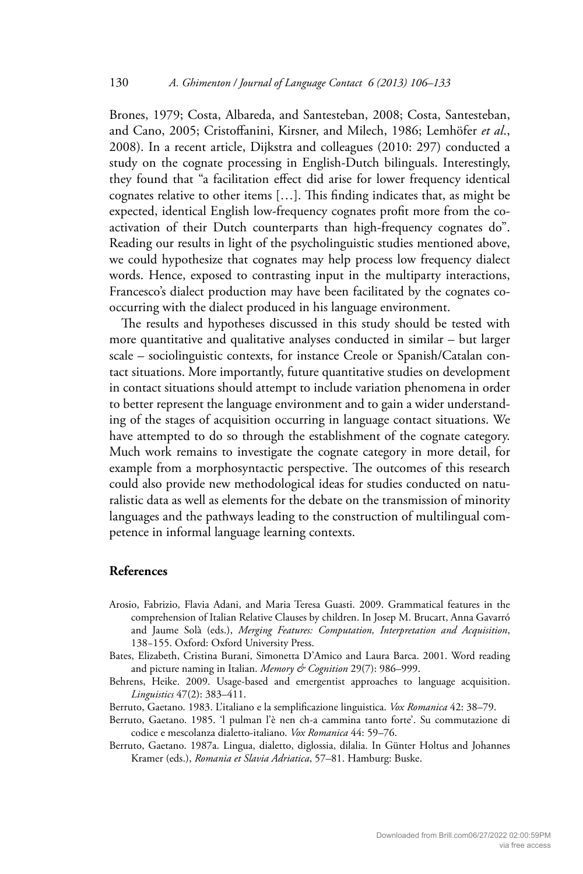Brones, 1979; Costa, Albareda, and Santesteban, 2008; Costa, Santesteban, and Cano, 2005; Cristoffanini, Kirsner, and Milech, 1986; Lemhöfer *et al*., 2008). In a recent article, Dijkstra and colleagues (2010: 297) conducted a study on the cognate processing in English-Dutch bilinguals. Interestingly, they found that "a facilitation effect did arise for lower frequency identical cognates relative to other items […]. This finding indicates that, as might be expected, identical English low-frequency cognates profit more from the coactivation of their Dutch counterparts than high-frequency cognates do". Reading our results in light of the psycholinguistic studies mentioned above, we could hypothesize that cognates may help process low frequency dialect words. Hence, exposed to contrasting input in the multiparty interactions, Francesco's dialect production may have been facilitated by the cognates cooccurring with the dialect produced in his language environment.

The results and hypotheses discussed in this study should be tested with more quantitative and qualitative analyses conducted in similar – but larger scale – sociolinguistic contexts, for instance Creole or Spanish/Catalan contact situations. More importantly, future quantitative studies on development in contact situations should attempt to include variation phenomena in order to better represent the language environment and to gain a wider understanding of the stages of acquisition occurring in language contact situations. We have attempted to do so through the establishment of the cognate category. Much work remains to investigate the cognate category in more detail, for example from a morphosyntactic perspective. The outcomes of this research could also provide new methodological ideas for studies conducted on naturalistic data as well as elements for the debate on the transmission of minority languages and the pathways leading to the construction of multilingual competence in informal language learning contexts.

## **References**

- Arosio, Fabrizio, Flavia Adani, and Maria Teresa Guasti. 2009. Grammatical features in the comprehension of Italian Relative Clauses by children. In Josep M. Brucart, Anna Gavarró and Jaume Solà (eds.), *Merging Features: Computation, Interpretation and Acquisition*, 138−155. Oxford: Oxford University Press.
- Bates, Elizabeth, Cristina Burani, Simonetta D'Amico and Laura Barca. 2001. Word reading and picture naming in Italian. *Memory & Cognition* 29(7): 986–999.
- Behrens, Heike. 2009. Usage-based and emergentist approaches to language acquisition. *Linguistics* 47(2): 383–411.
- Berruto, Gaetano. 1983. L'italiano e la semplificazione linguistica. *Vox Romanica* 42: 38–79.
- Berruto, Gaetano. 1985. 'l pulman l'è nen ch-a cammina tanto forte'. Su commutazione di codice e mescolanza dialetto-italiano. *Vox Romanica* 44: 59–76.
- Berruto, Gaetano. 1987a. Lingua, dialetto, diglossia, dilalia. In Günter Holtus and Johannes Kramer (eds.), *Romania et Slavia Adriatica*, 57–81. Hamburg: Buske.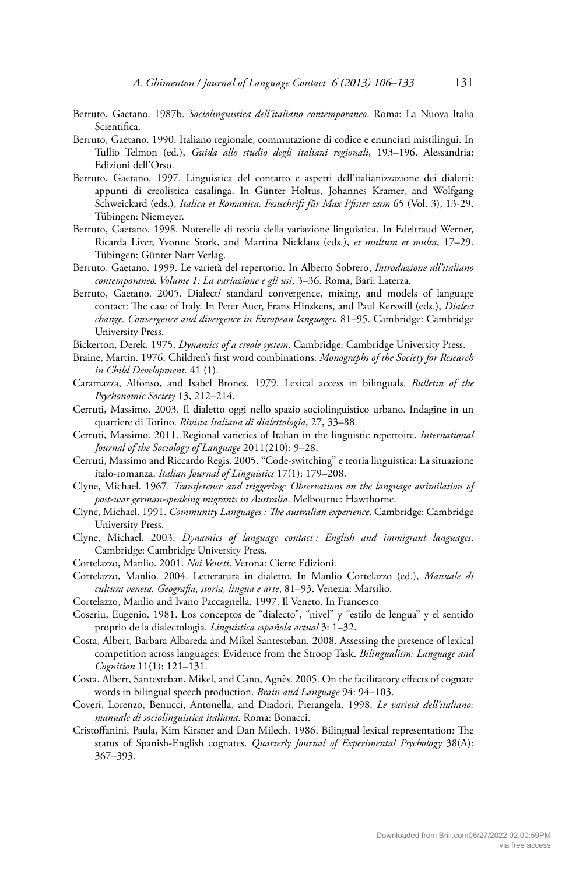- Berruto, Gaetano. 1987b. *Sociolinguistica dell'italiano contemporaneo*. Roma: La Nuova Italia Scientifica.
- Berruto, Gaetano. 1990. Italiano regionale, commutazione di codice e enunciati mistilingui. In Tullio Telmon (ed.), *Guida allo studio degli italiani regionali*, 193–196. Alessandria: Edizioni dell'Orso.
- Berruto, Gaetano. 1997. Linguistica del contatto e aspetti dell'italianizzazione dei dialetti: appunti di creolistica casalinga. In Günter Holtus, Johannes Kramer, and Wolfgang Schweickard (eds.), *Italica et Romanica. Festschrift für Max Pfister zum* 65 (Vol. 3), 13-29. Tübingen: Niemeyer.
- Berruto, Gaetano. 1998. Noterelle di teoria della variazione linguistica. In Edeltraud Werner, Ricarda Liver, Yvonne Stork, and Martina Nicklaus (eds.), *et multum et multa*, 17–29. Tübingen: Günter Narr Verlag.
- Berruto, Gaetano. 1999. Le varietà del repertorio. In Alberto Sobrero, *Introduzione all'italiano contemporaneo. Volume 1: La variazione e gli usi*, 3–36. Roma, Bari: Laterza.
- Berruto, Gaetano. 2005. Dialect/ standard convergence, mixing, and models of language contact: The case of Italy. In Peter Auer, Frans Hinskens, and Paul Kerswill (eds.), *Dialect change. Convergence and divergence in European languages*, 81–95. Cambridge: Cambridge University Press.
- Bickerton, Derek. 1975. *Dynamics of a creole system*. Cambridge: Cambridge University Press.
- Braine, Martin. 1976. Children's first word combinations. *Monographs of the Society for Research in Child Development*. 41 (1).
- Caramazza, Alfonso, and Isabel Brones. 1979. Lexical access in bilinguals. *Bulletin of the Psychonomic Society* 13, 212–214.
- Cerruti, Massimo. 2003. Il dialetto oggi nello spazio sociolinguistico urbano. Indagine in un quartiere di Torino. *Rivista Italiana di dialettologia*, 27, 33–88.
- Cerruti, Massimo. 2011. Regional varieties of Italian in the linguistic repertoire. *International Journal of the Sociology of Language* 2011(210): 9–28.
- Cerruti, Massimo and Riccardo Regis. 2005. "Code-switching" e teoria linguistica: La situazione italo-romanza. *Italian Journal of Linguistics* 17(1): 179–208.
- Clyne, Michael. 1967. *Transference and triggering: Observations on the language assimilation of post-war german-speaking migrants in Australia*. Melbourne: Hawthorne.
- Clyne, Michael. 1991. *Community Languages : The australian experience*. Cambridge: Cambridge University Press.
- Clyne, Michael. 2003. *Dynamics of language contact : English and immigrant languages*. Cambridge: Cambridge University Press.
- Cortelazzo, Manlio. 2001. *Noi Veneti*. Verona: Cierre Edizioni.
- Cortelazzo, Manlio. 2004. Letteratura in dialetto. In Manlio Cortelazzo (ed.), *Manuale di cultura veneta. Geografia, storia, lingua e arte*, 81–93. Venezia: Marsilio.
- Cortelazzo, Manlio and Ivano Paccagnella. 1997. Il Veneto. In Francesco
- Coseriu, Eugenio. 1981. Los conceptos de "dialecto", "nivel" y "estilo de lengua" y el sentido proprio de la dialectologìa. *Linguistica española actual* 3: 1–32.
- Costa, Albert, Barbara Albareda and Mikel Santesteban. 2008. Assessing the presence of lexical competition across languages: Evidence from the Stroop Task. *Bilingualism: Language and Cognition* 11(1): 121–131.
- Costa, Albert, Santesteban, Mikel, and Cano, Agnès. 2005. On the facilitatory effects of cognate words in bilingual speech production. *Brain and Language* 94: 94–103.
- Coveri, Lorenzo, Benucci, Antonella, and Diadori, Pierangela. 1998. *Le varietà dell'italiano: manuale di sociolinguistica italiana*. Roma: Bonacci.
- Cristoffanini, Paula, Kim Kirsner and Dan Milech. 1986. Bilingual lexical representation: The status of Spanish-English cognates. *Quarterly Journal of Experimental Psychology* 38(A): 367–393.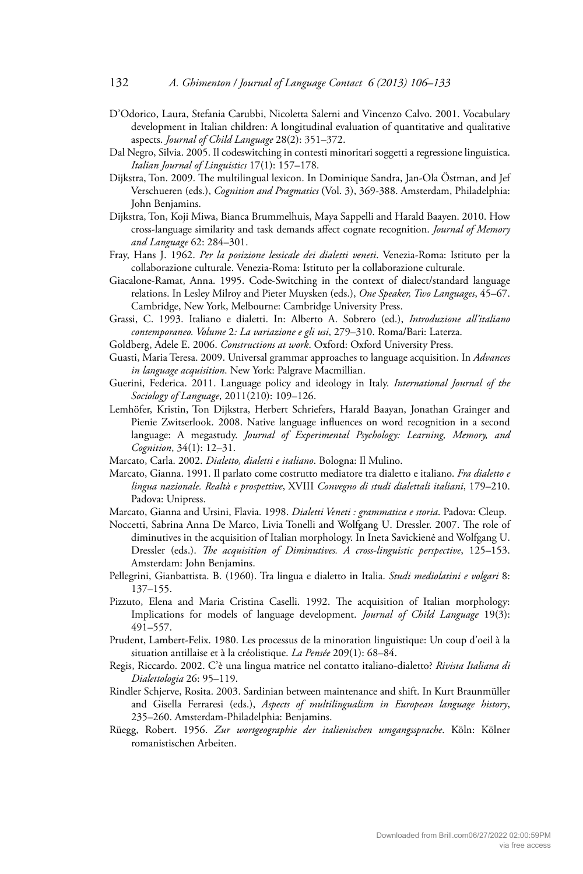- D'Odorico, Laura, Stefania Carubbi, Nicoletta Salerni and Vincenzo Calvo. 2001. Vocabulary development in Italian children: A longitudinal evaluation of quantitative and qualitative aspects. *Journal of Child Language* 28(2): 351–372.
- Dal Negro, Silvia. 2005. Il codeswitching in contesti minoritari soggetti a regressione linguistica. *Italian Journal of Linguistics* 17(1): 157–178.
- Dijkstra, Ton. 2009. The multilingual lexicon. In Dominique Sandra, Jan-Ola Östman, and Jef Verschueren (eds.), *Cognition and Pragmatics* (Vol. 3), 369-388. Amsterdam, Philadelphia: John Benjamins.
- Dijkstra, Ton, Koji Miwa, Bianca Brummelhuis, Maya Sappelli and Harald Baayen. 2010. How cross-language similarity and task demands affect cognate recognition. *Journal of Memory and Language* 62: 284–301.
- Fray, Hans J. 1962. *Per la posizione lessicale dei dialetti veneti*. Venezia-Roma: Istituto per la collaborazione culturale. Venezia-Roma: Istituto per la collaborazione culturale.
- Giacalone-Ramat, Anna. 1995. Code-Switching in the context of dialect/standard language relations. In Lesley Milroy and Pieter Muysken (eds.), *One Speaker, Two Languages*, 45–67. Cambridge, New York, Melbourne: Cambridge University Press.
- Grassi, C. 1993. Italiano e dialetti. In: Alberto A. Sobrero (ed.), *Introduzione all'italiano contemporaneo. Volume* 2*: La variazione e gli usi*, 279–310. Roma/Bari: Laterza.
- Goldberg, Adele E. 2006. *Constructions at work*. Oxford: Oxford University Press.
- Guasti, Maria Teresa. 2009. Universal grammar approaches to language acquisition. In *Advances in language acquisition*. New York: Palgrave Macmillian.
- Guerini, Federica. 2011. Language policy and ideology in Italy. *International Journal of the Sociology of Language*, 2011(210): 109–126.
- Lemhöfer, Kristin, Ton Dijkstra, Herbert Schriefers, Harald Baayan, Jonathan Grainger and Pienie Zwitserlook. 2008. Native language influences on word recognition in a second language: A megastudy. *Journal of Experimental Psychology: Learning, Memory, and Cognition*, 34(1): 12–31.
- Marcato, Carla. 2002. *Dialetto, dialetti e italiano*. Bologna: Il Mulino.
- Marcato, Gianna. 1991. Il parlato come costrutto mediatore tra dialetto e italiano. *Fra dialetto e lingua nazionale. Realtà e prospettive*, XVIII *Convegno di studi dialettali italiani*, 179–210. Padova: Unipress.
- Marcato, Gianna and Ursini, Flavia. 1998. *Dialetti Veneti : grammatica e storia*. Padova: Cleup.
- Noccetti, Sabrina Anna De Marco, Livia Tonelli and Wolfgang U. Dressler. 2007. The role of diminutives in the acquisition of Italian morphology. In Ineta Savickienė and Wolfgang U. Dressler (eds.). *The acquisition of Diminutives. A cross-linguistic perspective*, 125–153. Amsterdam: John Benjamins.
- Pellegrini, Gianbattista. B. (1960). Tra lingua e dialetto in Italia. *Studi mediolatini e volgari* 8: 137–155.
- Pizzuto, Elena and Maria Cristina Caselli. 1992. The acquisition of Italian morphology: Implications for models of language development. *Journal of Child Language* 19(3): 491–557.
- Prudent, Lambert-Felix. 1980. Les processus de la minoration linguistique: Un coup d'oeil à la situation antillaise et à la créolistique. *La Pensée* 209(1): 68–84.
- Regis, Riccardo. 2002. C'è una lingua matrice nel contatto italiano-dialetto? *Rivista Italiana di Dialettologia* 26: 95–119.
- Rindler Schjerve, Rosita. 2003. Sardinian between maintenance and shift. In Kurt Braunmüller and Gisella Ferraresi (eds.), *Aspects of multilingualism in European language history*, 235–260. Amsterdam-Philadelphia: Benjamins.
- Rüegg, Robert. 1956. *Zur wortgeographie der italienischen umgangssprache*. Köln: Kölner romanistischen Arbeiten.